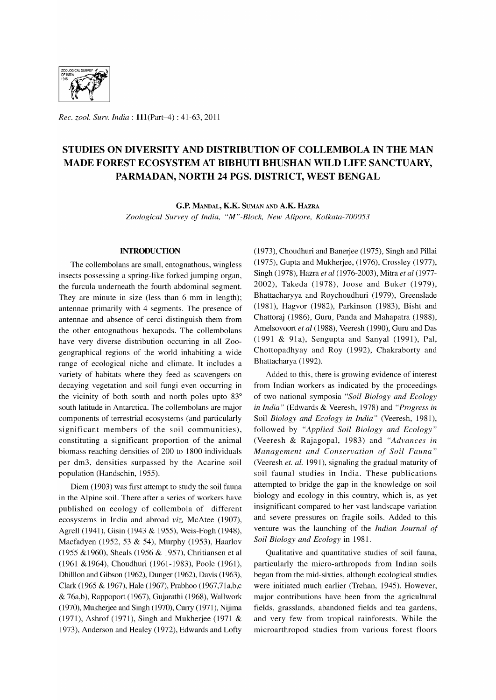

*Rec. zool. Surv. India:* 111(Part-4) : 41-63, 2011

# STUDIES ON DIVERSITY AND DISTRIBUTION OF COLLEMBOLA IN THE MAN MADE FOREST ECOSYSTEM AT BIBHUTI BHUSHAN WILD LIFE SANCTUARY, PARMADAN, NORTH 24 PGS. DISTRICT, WEST BENGAL

G.P. MANDAL, K.K. SUMAN AND A.K. HAZRA

*Zoological Survey of India, "M" -Block, New Alipore, Kolkata-700053* 

## INTRODUCTION

The collembolans are small, entognathous, wingless insects possessing a spring-like forked jumping organ, the furcula underneath the fourth abdominal segment. They are minute in size (less than 6 mm in length); antennae primarily with 4 segments. The presence of antennae and absence of cerci distinguish them from the other entognathous hexapods. The collembolans have very diverse distribution occurring in all Zoogeographical regions of the world inhabiting a wide range of ecological niche and climate. It includes a variety of habitats where they feed as scavengers on decaying vegetation and soil fungi even occurring in the vicinity of both south and north poles upto 83° south latitude in Antarctica. The collembolans are major components of terrestrial ecosystems (and particularly significant members of the soil communities), constituting a significant proportion of the animal biomass reaching densities of 200 to 1800 individuals per dm3, densities surpassed by the Acarine soil population (Handschin, 1955).

Diem (1903) was first attempt to study the soil fauna in the Alpine soil. There after a series of workers have published on ecology of collembola of different ecosystems in India and abroad *viz,* McAtee (1907), Agrell (1941), Gisin (1943 & 1955), Weis-Fogh (1948), Macfadyen (1952, 53 & 54), Murphy (1953), Haarlov (1955 &1960), Sheals (1956 & 1957), Chritiansen et al (1961 &1964), Choudhuri (1961-1983), Poole (1961), Dhilllon and Gibson (1962), Dunger (1962), Davis (1963), Clark (1965 & 1967), Hale (1967), Prabhoo (1967,71a,b,c & 76a,b), Rappoport (1967), Gujarathi (1968), Wallwork (1970), Mukherjee and Singh (1970), Curry (1971), Nijima (1971), Ashrof (1971), Singh and Mukherjee (1971 & 1973), Anderson and Healey (1972), Edwards and Lofty

(1973), Choudhuri and Banerjee (1975), Singh and Pillai (1975), Gupta and Mukherjee, (1976), Crossley (1977), Singh (1978), Hazra *et al* (1976-2003), Mitra *et al (1977-* 2002), Takeda (1978), Joose and Buker (1979), Bhattacharyya and Roychoudhuri (1979), Greenslade (1981), Hagvor (1982), Parkinson (1983), Bisht and Chattoraj (1986), Guru, Panda and Mahapatra (1988), Amelsovoort *et al* (1988), Veeresh (1990), Guru and Das  $(1991 \& 91a)$ , Sengupta and Sanyal  $(1991)$ , Pal, Chottopadhyay and Roy (1992), Chakraborty and Bhattacharya (1992).

Added to this, there is growing evidence of interest from Indian workers as indicated by the proceedings of two national symposia *"Soil Biology and Ecology in India"* (Edwards & Veeresh, 1978) and *"Progress in*  Soil *Biology and Ecology in India"* (Veeresh, 1981), followed by *"Applied Soil Biology and Ecology"*  (Veeresh & Rajagopal, 1983) and *"Advances in Management and Conservation of Soil Fauna"*  (Veeresh *et. al.* 1991), signaling the gradual maturity of soil faunal studies in India. These publications attempted to bridge the gap in the know ledge on soil biology and ecology in this country, which is, as yet insignificant compared to her vast landscape variation and severe pressures on fragile soils. Added to this venture was the launching of the *Indian Journal of Soil Biology and Ecology* in 1981.

Qualitative and quantitative studies of soil fauna, particularly the micro-arthropods from Indian soils began from the mid-sixties, although ecological studies were initiated much earlier (Trehan, 1945). However, major contributions have been from the agricultural fields, grasslands, abandoned fields and tea gardens, and very few from tropical rainforests. While the microarthropod studies from various forest floors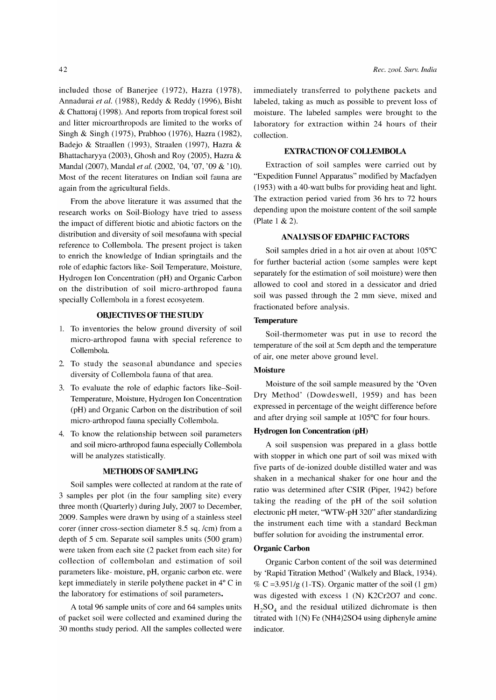included those of Banerjee (1972), Hazra (1978), Annadurai *et al.* (1988), Reddy & Reddy (1996), Bisht & Chattoraj (1998). And reports from tropical forest soil and litter microarthropods are limited to the works of Singh & Singh (1975), Prabhoo (1976), Hazra (1982), Badejo & Straallen (1993), Straalen (1997), Hazra & Bhattacharyya (2003), Ghosh and Roy (2005), Hazra & MandaI (2007), MandaI *et al.* (2002, '04, '07, '09 & '10). Most of the recent literatures on Indian soil fauna are again from the agricultural fields.

From the above literature it was assumed that the research works on Soil-Biology have tried to assess the impact of different biotic and abiotic factors on the distribution and diversity of soil mesofauna with special reference to Collembola. The present project is taken to enrich the knowledge of Indian springtails and the role of edaphic factors like- Soil Temperature, Moisture, Hydrogen Ion Concentration (pH) and Organic Carbon on the distribution of soil micro-arthropod fauna specially Collembola in a forest ecosyetem.

# **OBJECTTVESOFTHESTUDY**

- 1. To inventories the below ground diversity of soil micro-arthropod fauna with special reference to Collembola.
- 2. To study the seasonal abundance and species diversity of Collembola fauna of that area.
- 3. To evaluate the role of edaphic factors like-Soil-Temperature, Moisture, Hydrogen Ion Concentration (pH) and Organic Carbon on the distribution of soil micro-arthropod fauna specially Collembola.
- 4. To know the relationship between soil parameters and soil micro-arthropod fauna especially Collembola will be analyzes statistically.

# **METHODS OF SAMPLING**

Soil samples were collected at random at the rate of 3 samples per plot (in the four sampling site) every three month (Quarterly) during July, 2007 to December, 2009. Samples were drawn by using of a stainless steel corer (inner cross-section diameter 8.5 sq. /cm) from a depth of 5 cm. Separate soil samples units (500 gram) were taken from each site (2 packet from each site) for collection of collembolan and estimation of soil parameters like- moisture, pH, organic carbon etc. were kept immediately in sterile polythene packet in 4° C in the laboratory for estimations of soil parameters.

A total 96 sample units of core and 64 samples units of packet soil were collected and examined during the 30 months study period. All the samples collected were immediately transferred to polythene packets and labeled, taking as much as possible to prevent loss of moisture. The labeled samples were brought to the laboratory for extraction within 24 hours of their collection.

## **EXTRACTION OF COLLEMBOLA**

Extraction of soil samples were carried out by "Expedition Funnel Apparatus" modified by Macfadyen (1953) with a 40-watt bulbs for providing heat and light. The extraction period varied from 36 hrs to 72 hours depending upon the moisture content of the soil sample (Plate 1 & 2).

#### **ANALYSIS OF EDAPHIC FACTORS**

Soil samples dried in a hot air oven at about 105°C for further bacterial action (some samples were kept separately for the estimation of soil moisture) were then allowed to cool and stored in a dessicator and dried soil was passed through the 2 mm sieve, mixed and fractionated before analysis.

# **Temperature**

Soil-thermometer was put in use to record the temperature of the soil at 5cm depth and the temperature of air, one meter above ground level.

# **Moisture**

Moisture of the soil sample measured by the 'Oven Dry Method' (Dowdeswell, 1959) and has been expressed in percentage of the weight difference before and after drying soil sample at 105°C for four hours.

#### **Hydrogen Ion Concentration (pH)**

A soil suspension was prepared in a glass bottle with stopper in which one part of soil was mixed with five parts of de-ionized double distilled water and was shaken in a mechanical shaker for one hour and the ratio was determined after CSIR (Piper, 1942) before taking the reading of the pH of the soil solution electronic pH meter, "WTW -pH 320" after standardizing the instrument each time with a standard Beckman buffer solution for avoiding the instrumental error.

#### **Organic Carbon**

Organic Carbon content of the soil was determined by 'Rapid Titration Method' (Walkely and Black, 1934). % C = 3.951/g (1-TS). Organic matter of the soil (1 gm) was digested with excess 1 (N) K2Cr207 and conc.  $H_2SO_4$  and the residual utilized dichromate is then titrated with  $1(N)$  Fe (NH4)2SO4 using diphenyle amine indicator.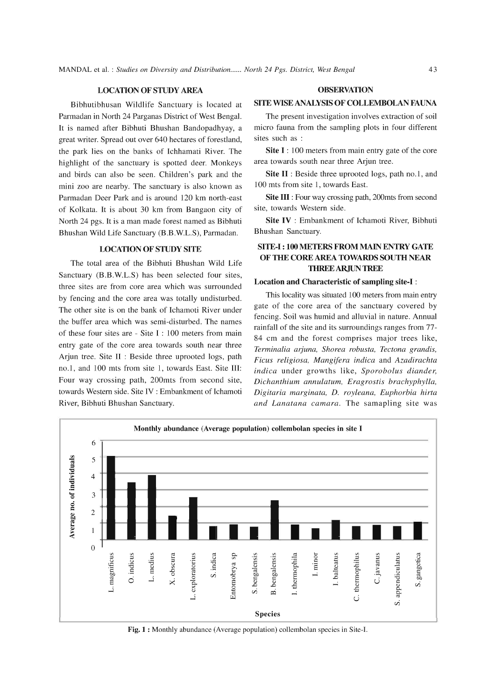## LOCATION OF STUDY AREA

Bibhutibhusan Wildlife Sanctuary is located at Parmadan in North 24 Parganas District of West Bengal. It is named after Bibhuti Bhushan Bandopadhyay, a great writer. Spread out over 640 hectares of forestland, the park lies on the banks of Ichhamati River. The highlight of the sanctuary is spotted deer. Monkeys and birds can also be seen. Children's park and the mini zoo are nearby. The sanctuary is also known as Parmadan Deer Park and is around 120 km north-east of Kolkata. It is about 30 km from Bangaon city of North 24 pgs. It is a man made forest named as Bibhuti Bhushan Wild Life Sanctuary (B.B.W.L.S), Parmadan.

#### LOCATION OF STUDY SITE

The total area of the Bibhuti Bhushan Wild Life Sanctuary (B.B.W.L.S) has been selected four sites, three sites are from core area which was surrounded by fencing and the core area was totally undisturbed. The other site is on the bank of Ichamoti River under the buffer area which was semi-disturbed. The names of these four sites are - Site I: 100 meters from main entry gate of the core area towards south near three Arjun tree. Site II : Beside three uprooted logs, path no.l, and 100 mts from site 1, towards East. Site III: Four way crossing path, 200mts from second site, towards Western side. Site IV : Embankment of Ichamoti River, Bibhuti Bhushan Sanctuary.

#### **OBSERVATION**

# SITE WISE ANALYSIS OF COLLEMBOLAN FAUNA

The present investigation involves extraction of soil micro fauna from the sampling plots in four different sites such as :

Site I: 100 meters from main entry gate of the core area towards south near three Arjun tree.

Site II : Beside three uprooted logs, path no.1, and 100 mts from site 1, towards East.

Site III : Four way crossing path, 200mts from second site, towards Western side.

Site IV : Embankment of Ichamoti River, Bibhuti Bhushan Sanctuary.

# SITE-I: 100 METERS FROM MAIN ENTRY GATE OF THE CORE AREA TOWARDS SOUTH NEAR THREE ARJUN TREE

#### Location and Characteristic of sampling site-I:

This locality was situated 100 meters from main entry gate of the core area of the sanctuary covered by fencing. Soil was humid and alluvial in nature. Annual rainfall of the site and its surroundings ranges from 77- 84 em and the forest comprises major trees like, *Terminalia arjuna, Shorea robusta, Tectona grandis, Ficus religiosa, Mangifera indica* and *Azadirachta indica* under growths like, *Sporobolus diander, Dichanthium annulatum, Eragrostis brachyphylla, Digitaria marginata,* D. *royleana, Euphorbia hirta and Lanatana camara.* The samapling site was



Fig. 1 : Monthly abundance (Average population) collembolan species in Site-I.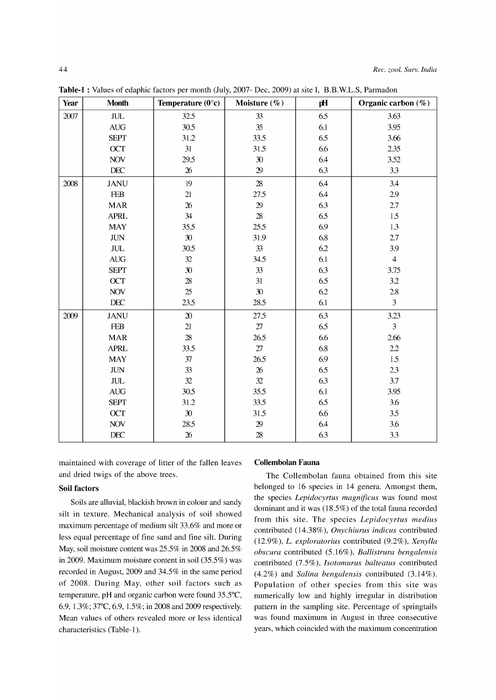| Year | <b>Month</b>                     | Temperature $(0^{\circ}c)$ | Moisture (%)    | рH      | Organic carbon $(\%)$ |
|------|----------------------------------|----------------------------|-----------------|---------|-----------------------|
| 2007 | $JUL$                            | 32.5                       | 33              | 6.5     | 3.63                  |
|      | $\mathbf{A}\mathbf{U}\mathbf{G}$ | 30.5                       | 35              | 6.1     | 3.95                  |
|      | <b>SEPT</b>                      | 31.2                       | 33.5            | 6.5     | 3.66                  |
|      | OCT                              | 31                         | 31.5            | 6.6     | 2.35                  |
|      | <b>NOV</b>                       | 29.5                       | 30              | 6.4     | 3.52                  |
|      | $\rm DEC$                        | $\boldsymbol{26}$          | 29              | 6.3     | 3.3                   |
| 2008 | <b>JANU</b>                      | 19                         | $\overline{28}$ | 6.4     | 3.4                   |
|      | <b>FEB</b>                       | $21\,$                     | 27.5            | 6.4     | 2.9                   |
|      | <b>MAR</b>                       | 26                         | $2\!9$          | 6.3     | 2.7                   |
|      | <b>APRL</b>                      | 34                         | $28\,$          | 6.5     | 1.5                   |
|      | <b>MAY</b>                       | 35.5                       | 25.5            | 6.9     | 1.3                   |
|      | $\text{J}\text{U}\text{N}$       | 30 <sup>2</sup>            | 31.9            | 6.8     | 2.7                   |
|      | $\ensuremath{\text{JUL}}$        | 30.5                       | 33              | 6.2     | 3.9                   |
|      | $\mathbf{A}\mathbf{U}\mathbf{G}$ | $32\,$                     | 34.5            | $6.1\,$ | $\overline{4}$        |
|      | <b>SEPT</b>                      | $30\,$                     | 33              | 6.3     | 3.75                  |
|      | <b>OCT</b>                       | $28\,$                     | 31              | 6.5     | 3.2                   |
|      | <b>NOV</b>                       | 25                         | 30              | 6.2     | $2.8\,$               |
|      | $\rm DEC$                        | 23.5                       | 28.5            | 6.1     | 3                     |
| 2009 | <b>JANU</b>                      | $2\!0$                     | 27.5            | 6.3     | 3.23                  |
|      | <b>FEB</b>                       | $21\,$                     | $27\,$          | 6.5     | $\overline{3}$        |
|      | <b>MAR</b>                       | $28\,$                     | 26.5            | 6.6     | 2.66                  |
|      | <b>APRL</b>                      | 33.5                       | $27\,$          | 6.8     | $2.2\,$               |
|      | <b>MAY</b>                       | $37\,$                     | 26.5            | 6.9     | 1.5                   |
|      | $J\!U\!N$                        | 33                         | $26\,$          | 6.5     | 2.3                   |
|      | $\ensuremath{\text{JUL}}$        | 32                         | 32              | 6.3     | 3.7                   |
|      | $\mathbf{A}\mathbf{U}\mathbf{G}$ | 30.5                       | 35.5            | 6.1     | 3.95                  |
|      | <b>SEPT</b>                      | 31.2                       | 33.5            | 6.5     | 3.6                   |
|      | OCT                              | 30                         | 31.5            | 6.6     | 3.5                   |
|      | <b>NOV</b>                       | 28.5                       | $2\!9$          | 6.4     | 3.6                   |
|      | $\rm DEC$                        | $26\,$                     | $28\,$          | 6.3     | 3.3                   |

**Table-!** : Values of edaphic factors per month (July, 2007- Dec, 2009) at site I, B.B.W.L.S, Parmadon

maintained with coverage of litter of the fallen leaves and dried twigs of the above trees.

#### **Soil factors**

Soils are alluvial, blackish brown in colour and sandy silt in texture. Mechanical analysis of soil showed maximum percentage of medium silt 33.6% and more or less equal percentage of fine sand and fine silt. During May, soil moisture content was 25.5% in 2008 and 26.5% in 2009. Maximum moisture content in soil (35.5%) was recorded in August, 2009 and 34.5% in the same period of 2008. During May, other soil factors such as temperature, pH and organic carbon were found 35.5°C, 6.9, 1.3%; 37°C, 6.9, 1.5%; in 2008 and 2009 respectively. Mean values of others revealed more or less identical characteristics (Table-I).

## **Collembolan Fauna**

The Collembolan fauna obtained from this site belonged to 16 species in 14 genera. Amongst them, the species *Lepidocyrtus magnificus* was found most dominant and it was  $(18.5\%)$  of the total fauna recorded from this site. The species *Lepidocyrtus medius*  contributed (14.38%), *Onychiurus indicus* contributed *(12.9%),* L. *exploratorius* contributed (9.2%), *Xenylla obscura* contributed (5.16%), *Ballistrura bengalensis*  contributed (7.5%), *Isotomurus balteatus* contributed (4.2%) and *Salina bengalensis* contributed (3.14%). Population of other species from this site was numerically low and highly irregular in distribution pattern in the sampling site. Percentage of springtails was found maximum in August in three consecutive years, which coincided with the maximum concentration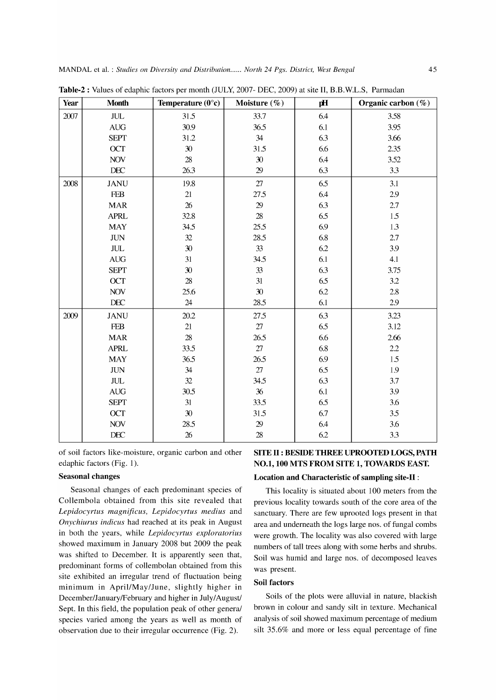| Year | <b>Month</b>                     | Temperature $(0^{\circ}c)$ | Moisture (%) | pH  | Organic carbon (%) |
|------|----------------------------------|----------------------------|--------------|-----|--------------------|
| 2007 | $\rm JUL$                        | 31.5                       | 33.7         | 6.4 | 3.58               |
|      | $\mathbf{A}\mathbf{U}\mathbf{G}$ | 30.9                       | 36.5         | 6.1 | 3.95               |
|      | <b>SEPT</b>                      | 31.2                       | 34           | 6.3 | 3.66               |
|      | OCT                              | $30\,$                     | 31.5         | 6.6 | 2.35               |
|      | <b>NOV</b>                       | 28                         | 30           | 6.4 | 3.52               |
|      | DEC                              | 26.3                       | 29           | 6.3 | 3.3                |
| 2008 | <b>JANU</b>                      | 19.8                       | 27           | 6.5 | 3.1                |
|      | ${\bf F}\!{\bf E}\!{\bf B}$      | 21                         | 27.5         | 6.4 | 2.9                |
|      | <b>MAR</b>                       | 26                         | 29           | 6.3 | 2.7                |
|      | <b>APRL</b>                      | 32.8                       | $28\,$       | 6.5 | 1.5                |
|      | <b>MAY</b>                       | 34.5                       | 25.5         | 6.9 | 1.3                |
|      | <b>JUN</b>                       | 32                         | 28.5         | 6.8 | 2.7                |
|      | $\rm JUL$                        | $30\,$                     | 33           | 6.2 | 3.9                |
|      | $\mathbf{A}\mathbf{U}\mathbf{G}$ | 31                         | 34.5         | 6.1 | 4.1                |
|      | <b>SEPT</b>                      | $30\,$                     | 33           | 6.3 | 3.75               |
|      | <b>OCT</b>                       | $28\,$                     | 31           | 6.5 | 3.2                |
|      | <b>NOV</b>                       | 25.6                       | 30           | 6.2 | 2.8                |
|      | DEC                              | 24                         | 28.5         | 6.1 | 2.9                |
| 2009 | <b>JANU</b>                      | 20.2                       | 27.5         | 6.3 | 3.23               |
|      | <b>FEB</b>                       | 21                         | $27\,$       | 6.5 | 3.12               |
|      | <b>MAR</b>                       | 28                         | 26.5         | 6.6 | 2.66               |
|      | <b>APRL</b>                      | 33.5                       | $27\,$       | 6.8 | 2.2                |
|      | <b>MAY</b>                       | 36.5                       | 26.5         | 6.9 | 1.5                |
|      | <b>JUN</b>                       | 34                         | 27           | 6.5 | 1.9                |
|      | $\rm JUL$                        | 32                         | 34.5         | 6.3 | 3.7                |
|      | $\mathbf{A}\mathbf{U}\mathbf{G}$ | 30.5                       | 36           | 6.1 | 3.9                |
|      | <b>SEPT</b>                      | $31\,$                     | 33.5         | 6.5 | 3.6                |
|      | OCT                              | 30                         | 31.5         | 6.7 | 3.5                |
|      | $\rm NOV$                        | 28.5                       | 29           | 6.4 | 3.6                |
|      | DEC                              | 26                         | $28\,$       | 6.2 | 3.3                |

**Table-2 :** Values of edaphic factors per month (JULY, 2007- DEC, 2009) at site II, B.B.W.L.S, Parmadan

of soil factors like-moisture, organic carbon and other edaphic factors (Fig. 1).

## **Seasonal changes**

Seasonal changes of each predominant species of Collembola obtained from this site revealed that *Lepidocyrtus magnificus, Lepidocyrtus medius* and *Onychiurus indicus* had reached at its peak in August in both the years, while *Lepidocyrtus exploratorius*  showed maximum in January 2008 but 2009 the peak was shifted to December. It is apparently seen that, predominant forms of collembolan obtained from this site exhibited an irregular trend of fluctuation being minimum in April/May/June, slightly higher in December/January/February and higher in July/August/ Sept. In this field, the population peak of other general species varied among the years as well as month of observation due to their irregular occurrence (Fig. 2).

# **SITE II: BESIDE THREE UPROOTED LOGS, PATH NO.1, 100 MTS FROM SITE 1, TOWARDS EAST.**

#### **Location and Characteristic of sampling site-II:**

This locality is situated about 100 meters from the previous locality towards south of the core area of the sanctuary. There are few uprooted logs present in that area and underneath the logs large nos. of fungal combs were growth. The locality was also covered with large numbers of tall trees along with some herbs and shrubs. Soil was humid and large nos. of decomposed leaves was present.

# **Soil factors**

Soils of the plots were alluvial in nature, blackish brown in colour and sandy silt in texture. Mechanical analysis of soil showed maximum percentage of medium silt 35.6% and more or less equal percentage of fine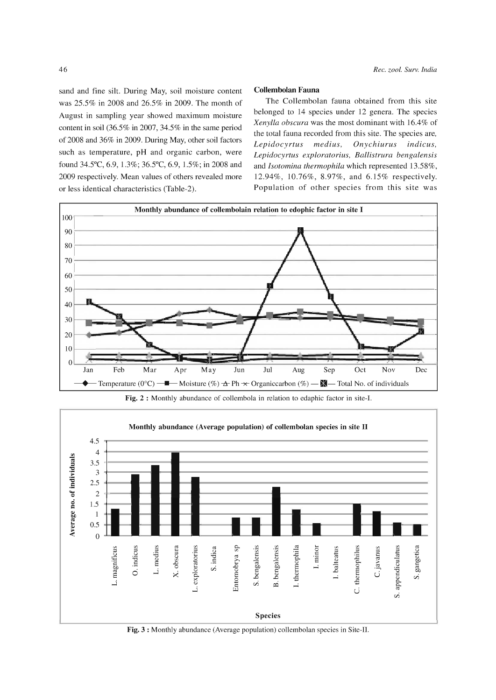sand and fine silt. During May, soil moisture content was 25.5% in 2008 and 26.5% in 2009. The month of August in sampling year showed maximum moisture content in soil  $(36.5\%$  in 2007, 34.5% in the same period of 2008 and 36% in 2009. During May, other soil factors such as temperature, pH and organic carbon, were found 34.5°C, 6.9, 1.3%; 36.5°C, 6.9, 1.5%; in 2008 and 2009 respectively. Mean values of others revealed more or less identical characteristics (Table-2).

#### Collembolan Fauna

The Collembolan fauna obtained from this site belonged to 14 species under 12 genera. The species *Xenylla obscura* was the most dominant with 16.4% of the total fauna recorded from this site. The species are, *Lepidocyrtus medius, Onychiurus indicus, Lepidocyrtus exploratorius, Ballistrura bengalensis*  and *Isotomina thermophila* which represented 13.58%, 12.94%, 10.76%, 8.97%, and 6.15% respectively. Population of other species from this site was



Fig. 2 : Monthly abundance of collembola in relation to edaphic factor in site-I.



Fig. 3 : Monthly abundance (Average population) collembolan species in Site-II.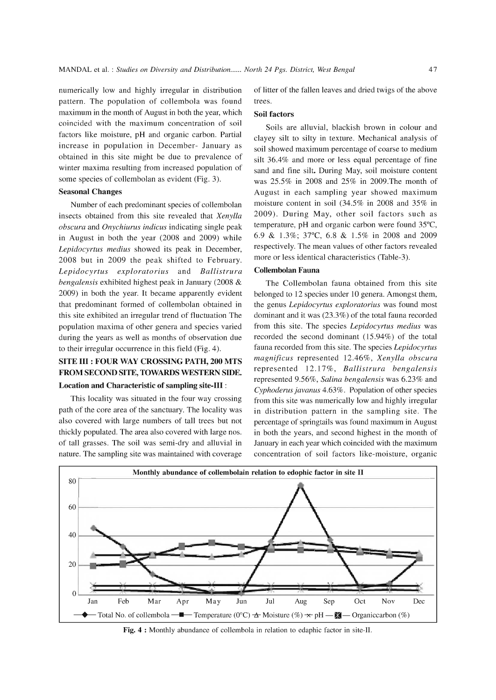numerically low and highly irregular in distribution pattern. The population of collembola was found maximum in the month of August in both the year, which coincided with the maximum concentration of soil factors like moisture, pH and organic carbon. Partial increase in population in December- January as obtained in this site might be due to prevalence of winter maxima resulting from increased population of some species of collembolan as evident (Fig. 3).

# Seasonal Changes

Number of each predominant species of collembolan insects obtained from this site revealed that *Xenylla obscura* and *Onychiurus indicus* indicating single peak in August in both the year (2008 and 2009) while *Lepidocyrtus medius* showed its peak in December, 2008 but in 2009 the peak shifted to February. *Lepidocyrtus exploratorius* and *Ballistrura bengalensis* exhibited highest peak in January (2008 & 2009) in both the year. It became apparently evident that predominant formed of collembolan obtained in this site exhibited an irregular trend of fluctuation The population maxima of other genera and species varied during the years as well as months of observation due to their irregular occurrence in this field (Fig. 4).

# SITE **III** : FOUR WAY CROSSING PATH, 200 MTS FROM SECOND SITE, TOWARDS WESTERN SIDE.

# Location and Characteristic of sampling site-III:

This locality was situated in the four way crossing path of the core area of the sanctuary. The locality was also covered with large numbers of tall trees but not thickly populated. The area also covered with large nos. of tall grasses. The soil was semi-dry and alluvial in nature. The sampling site was maintained with coverage of litter of the fallen leaves and dried twigs of the above trees.

#### Soil factors

Soils are alluvial, blackish brown in colour and clayey silt to silty in texture. Mechanical analysis of soil showed maximum percentage of coarse to medium silt 36.4% and more or less equal percentage of fine sand and fine silt. During May, soil moisture content was 25.5% in 2008 and 25% in 2009.The month of August in each sampling year showed maximum moisture content in soil (34.5% in 2008 and 35% in 2009). During May, other soil factors such as temperature, pH and organic carbon were found 35°C, 6.9 & 1.3%; 37°C, 6.8 & 1.5% in 2008 and 2009 respectively. The mean values of other factors revealed more or less identical characteristics (Table-3).

#### Collembolan Fauna

The Collembolan fauna obtained from this site belonged to 12 species under 10 genera. Amongst them, the genus *Lepidocyrtus exploratorius* was found most dominant and it was (23.3%) of the total fauna recorded from this site. The species *Lepidocyrtus medius* was recorded the second dominant (15.94%) of the total fauna recorded from this site. The species *Lepidocyrtus magnificus* represented 12.46%, *Xenylla obscura*  represented 12.17%, *Ballistrura bengalensis*  represented 9.56%, *Salina bengalensis* was 6.23% and *Cyphoderus javanus* 4.63%. Population of other species from this site was numerically low and highly irregular in distribution pattern in the sampling site. The percentage of springtails was found maximum in August in both the years, and second highest in the month of January in each year which coincided with the maximum concentration of soil factors like-moisture, organic



Fig. 4 : Monthly abundance of collembola in relation to edaphic factor in site-II.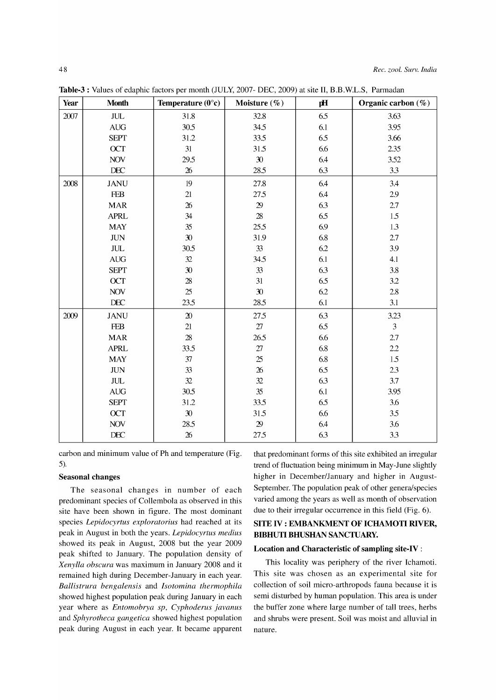| Year | <b>Month</b>              | Temperature $(0^{\circ}c)$ | Moisture (%)    | рH  | Organic carbon $(\%)$ |
|------|---------------------------|----------------------------|-----------------|-----|-----------------------|
| 2007 | $\ensuremath{\text{JUL}}$ | 31.8                       | 32.8            | 6.5 | 3.63                  |
|      | <b>AUG</b>                | 30.5                       | 34.5            | 6.1 | 3.95                  |
|      | <b>SEPT</b>               | 31.2                       | 33.5            | 6.5 | 3.66                  |
|      | OCT                       | 31                         | 31.5            | 6.6 | 2.35                  |
|      | $\rm NOV$                 | 29.5                       | 30              | 6.4 | 3.52                  |
|      | $\rm DEC$                 | $26\,$                     | 28.5            | 6.3 | 3.3                   |
| 2008 | <b>JANU</b>               | 19                         | 27.8            | 6.4 | 3.4                   |
|      | <b>FEB</b>                | $21\,$                     | 27.5            | 6.4 | 2.9                   |
|      | <b>MAR</b>                | 26                         | $29\,$          | 6.3 | 2.7                   |
|      | <b>APRL</b>               | 34                         | 28              | 6.5 | 1.5                   |
|      | <b>MAY</b>                | $35\,$                     | 25.5            | 6.9 | 1.3                   |
|      | $J\!U\!N$                 | 30                         | 31.9            | 6.8 | 2.7                   |
|      | $\rm JUL$                 | 30.5                       | 33              | 6.2 | 3.9                   |
|      | <b>AUG</b>                | 32                         | 34.5            | 6.1 | 4.1                   |
|      | <b>SEPT</b>               | $30\,$                     | 33              | 6.3 | 3.8                   |
|      | OCT                       | $28\,$                     | 31              | 6.5 | 3.2                   |
|      | <b>NOV</b>                | 25                         | 30              | 6.2 | $2.8\,$               |
|      | $\rm DEC$                 | 23.5                       | 28.5            | 6.1 | 3.1                   |
| 2009 | <b>JANU</b>               | $2\!0$                     | 27.5            | 6.3 | 3.23                  |
|      | <b>FEB</b>                | $21\,$                     | $27\,$          | 6.5 | $\overline{3}$        |
|      | <b>MAR</b>                | $28\,$                     | 26.5            | 6.6 | $2.7\,$               |
|      | <b>APRL</b>               | 33.5                       | $27\,$          | 6.8 | 2.2                   |
|      | <b>MAY</b>                | 37                         | 25              | 6.8 | 1.5                   |
|      | $\rm JUN$                 | 33                         | $\overline{26}$ | 6.5 | 2.3                   |
|      | $\rm JUL$                 | 32                         | 32              | 6.3 | 3.7                   |
|      | AUG                       | 30.5                       | 35              | 6.1 | 3.95                  |
|      | <b>SEPT</b>               | 31.2                       | 33.5            | 6.5 | 3.6                   |
|      | OCT                       | 30                         | 31.5            | 6.6 | 3.5                   |
|      | $\rm NOV$                 | 28.5                       | $29\,$          | 6.4 | 3.6                   |
|      | DEC                       | $26\,$                     | 27.5            | 6.3 | 3.3                   |

Table-3 : Values of edaphic factors per month (JULY, 2007- DEC, 2009) at site II, B.B.W.L.S, Parmadan

carbon and minimum value of Ph and temperature (Fig. 5).

#### Seasonal changes

The seasonal changes in number of each predominant species of Collembola as observed in this site have been shown in figure. The most dominant species *Lepidocyrtus exploratorius* had reached at its peak in August in both the years. *Lepidocyrtus medius*  showed its peak in August, 2008 but the year 2009 peak shifted to January. The population density of *Xenylla obscura* was maximum in January 2008 and it remained high during December-January in each year. *Ballistrura bengalensis* and *Isotomina thermophila*  showed highest population peak during January in each year where as *Entomobrya sp, Cyphoderus javanus*  and *Sphyrotheca gangetica* showed highest population peak during August in each year. It became apparent that predominant forms of this site exhibited an irregular trend of fluctuation being minimum in May-June slightly higher in December/January and higher in August-September. The population peak of other genera/species varied among the years as well as month of observation due to their irregular occurrence in this field (Fig. 6).

# SITE IV : EMBANKMENT OF ICHAMOTI RIVER, BIBHUTI BHUSHAN SANCTUARY.

#### Location and Characteristic of sampling site-IV:

This locality was periphery of the river Ichamoti. This site was chosen as an experimental site for collection of soil micro-arthropods fauna because it is semi disturbed by human population. This area is under the buffer zone where large number of tall trees, herbs and shrubs were present. Soil was moist and alluvial in nature.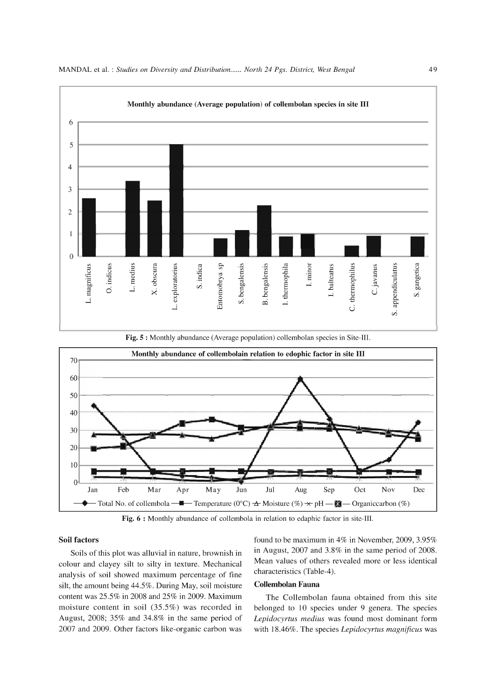



Fig. 5 : Monthly abundance (Average population) collembolan species in Site-III.

Fig. 6 : Monthly abundance of collembola in relation to edaphic factor in site-III.

#### Soil factors

Soils of this plot was alluvial in nature, brownish in colour and clayey silt to silty in texture. Mechanical analysis of soil showed maximum percentage of fine silt, the amount being 44.5%. During May, soil moisture content was 25.5% in 2008 and 25% in 2009. Maximum moisture content in soil  $(35.5\%)$  was recorded in August, 2008; 35% and 34.8% in the same period of 2007 and 2009. Other factors like-organic carbon was found to be maximum in 4% in November, 2009, 3.95% in August, 2007 and 3.8% in the same period of 2008. Mean values of others revealed more or less identical characteristics (Table-4).

# Collembolan Fauna

The Collembolan fauna obtained from this site belonged to 10 species under 9 genera. The species *Lepidocyrtus medius* was found most dominant form with 18.46%. The species *Lepidocyrtus magnificus* was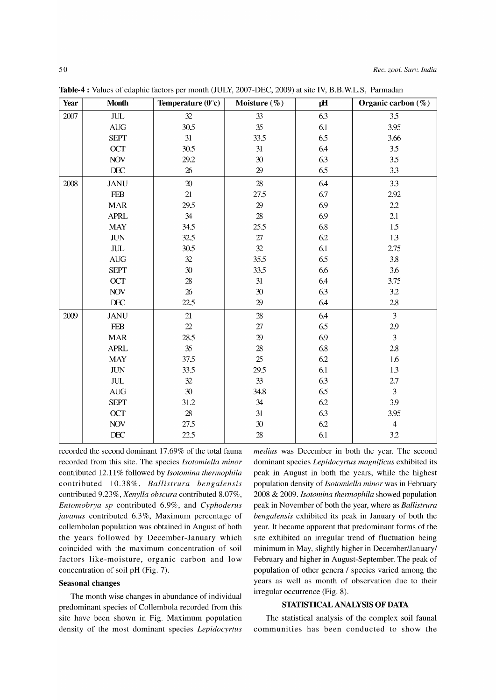| Year | <b>Month</b>              | Temperature $(0^{\circ}c)$ | Moisture (%)      | pH      | Organic carbon $(\%)$ |
|------|---------------------------|----------------------------|-------------------|---------|-----------------------|
| 2007 | $\ensuremath{\text{JUL}}$ | 32                         | 33                | 6.3     | 3.5                   |
|      | <b>AUG</b>                | 30.5                       | 35                | 6.1     | 3.95                  |
|      | <b>SEPT</b>               | 31                         | 33.5              | 6.5     | 3.66                  |
|      | OCT                       | 30.5                       | 31                | 6.4     | 3.5                   |
|      | <b>NOV</b>                | 29.2                       | 30                | 6.3     | 3.5                   |
|      | $\rm DEC$                 | $26\,$                     | $29\,$            | 6.5     | 3.3                   |
| 2008 | <b>JANU</b>               | $\boldsymbol{\mathsf{20}}$ | 28                | 6.4     | 3.3                   |
|      | <b>FEB</b>                | 21                         | 27.5              | 6.7     | 2.92                  |
|      | <b>MAR</b>                | 29.5                       | $2\!9$            | 6.9     | 2.2                   |
|      | <b>APRL</b>               | 34                         | $28\,$            | 6.9     | 2.1                   |
|      | <b>MAY</b>                | 34.5                       | 25.5              | 6.8     | 1.5                   |
|      | $\rm JUN$                 | 32.5                       | $27\,$            | 6.2     | 1.3                   |
|      | $\ensuremath{\text{JUL}}$ | 30.5                       | 32                | $6.1\,$ | 2.75                  |
|      | <b>AUG</b>                | 32                         | 35.5              | 6.5     | 3.8                   |
|      | <b>SEPT</b>               | 30                         | 33.5              | 6.6     | 3.6                   |
|      | <b>OCT</b>                | 28                         | $31\,$            | 6.4     | 3.75                  |
|      | <b>NOV</b>                | $\overline{26}$            | 30                | 6.3     | 3.2                   |
|      | DEC                       | 22.5                       | $29\,$            | 6.4     | 2.8                   |
| 2009 | <b>JANU</b>               | 21                         | $28\,$            | 6.4     | $\overline{3}$        |
|      | <b>FEB</b>                | $\mathfrak{D}$             | $27\,$            | 6.5     | 2.9                   |
|      | <b>MAR</b>                | 28.5                       | 29                | 6.9     | $\overline{3}$        |
|      | <b>APRL</b>               | 35                         | $28\,$            | 6.8     | 2.8                   |
|      | <b>MAY</b>                | 37.5                       | 25                | 6.2     | $1.6\,$               |
|      | $\rm JUN$                 | 33.5                       | 29.5              | 6.1     | 1.3                   |
|      | $\ensuremath{\text{JUL}}$ | 32                         | 33                | 6.3     | $2.7\,$               |
|      | $\operatorname{AUG}$      | 30                         | 34.8              | 6.5     | 3                     |
|      | <b>SEPT</b>               | 31.2                       | $34\,$            | 6.2     | 3.9                   |
|      | OCT                       | 28                         | 31                | 6.3     | 3.95                  |
|      | <b>NOV</b>                | 27.5                       | $\boldsymbol{30}$ | 6.2     | $\overline{4}$        |
|      | DEC                       | 22.5                       | $28\,$            | 6.1     | 3.2                   |

Table-4 : Values of edaphic factors per month (JULY, 2007-DEC, 2009) at site IV, B.B.W.L.S, Parmadan

recorded the second dominant 17.69% of the total fauna recorded from this site. The species *Isotomiella minor*  contributed 12.11 % followed by *Isotomina thermophila*  contributed 10.38%, *Ballistrura bengalensis*  contributed 9.23%, *Xenylla obscura* contributed 8.07%, *Entomobrya sp* contributed 6.9%, and *Cyphoderus javanus* contributed 6.3%, Maximum percentage of collembolan population was obtained in August of both the years followed by December-January which coincided with the maximum concentration of soil factors like-moisture, organic carbon and low concentration of soil pH (Fig. 7).

#### Seasonal changes

The month wise changes in abundance of individual predominant species of Collembola recorded from this site have been shown in Fig. Maximum population density of the most dominant species *Lepidocyrtus*  *medius* was December in both the year. The second dominant species *Lepidocyrtus magnificus* exhibited its peak in August in both the years, while the highest population density of *Isotomiella minor* was in February 2008 & 2009. *Isotomina thermophila* showed population peak in November of both the year, where as *Ballistrura bengalensis* exhibited its peak in January of both the year. It became apparent that predominant forms of the site exhibited an irregular trend of fluctuation being minimum in May, slightly higher in December/January/ February and higher in August-September. The peak of population of other genera / species varied among the years as well as month of observation due to their irregular occurrence (Fig. 8).

## STATISTICAL ANALYSIS OF DATA

The statistical analysis of the complex soil faunal communities has been conducted to show the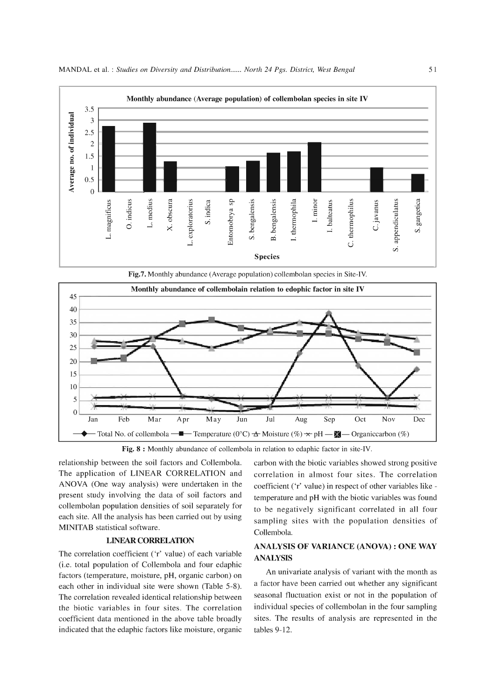

Fig.7. Monthly abundance (Average population) collembolan species in Site-IV.



Fig. 8 : Monthly abundance of collembola in relation to edaphic factor in site-IV.

relationship between the soil factors and Collembola. The application of LINEAR CORRELATION and ANOVA (One way analysis) were undertaken in the present study involving the data of soil factors and collembolan population densities of soil separately for each site. All the analysis has been carried out by using MINITAB statistical software.

#### LINEAR CORRELATION

The correlation coefficient ('r' value) of each variable (i.e. total population of Collembola and four edaphic factors (temperature, moisture, pH, organic carbon) on each other in individual site were shown (Table 5-8). The correlation revealed identical relationship between the biotic variables in four sites. The correlation coefficient data mentioned in the above table broadly indicated that the edaphic factors like moisture, organic carbon with the biotic variables showed strong positive correlation in almost four sites. The correlation coefficient ('r' value) in respect of other variables like temperature and pH with the biotic variables was found to be negatively significant correlated in all four sampling sites with the population densities of Collembola.

# ANALYSIS OF VARIANCE (ANOVA) : ONE WAY ANALYSIS

An univariate analysis of variant with the month as a factor have been carried out whether any significant seasonal fluctuation exist or not in the population of individual species of collembolan in the four sampling sites. The results of analysis are represented in the tables 9-12.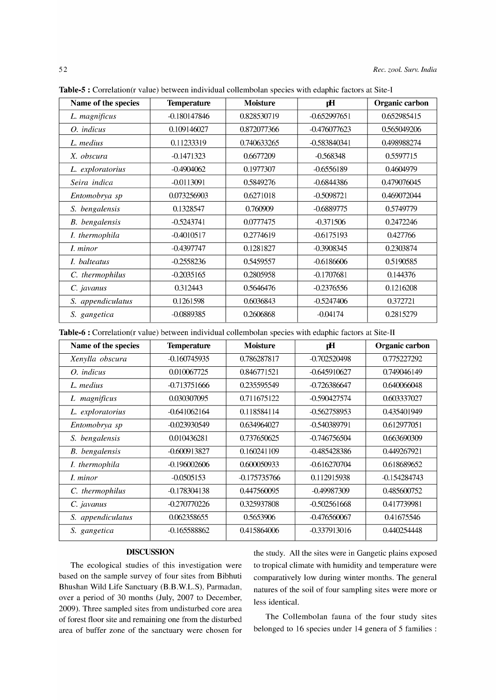| Name of the species   | <b>Temperature</b> | <b>Moisture</b> | рH             | Organic carbon |
|-----------------------|--------------------|-----------------|----------------|----------------|
| L. magnificus         | $-0.180147846$     | 0.828530719     | $-0.652997651$ | 0.652985415    |
| O. indicus            | 0.109146027        | 0.872077366     | $-0.476077623$ | 0.565049206    |
| L. medius             | 0.11233319         | 0.740633265     | -0.583840341   | 0.498988274    |
| X. obscura            | $-0.1471323$       | 0.6677209       | $-0.568348$    | 0.5597715      |
| L. exploratorius      | $-0.4904062$       | 0.1977307       | $-0.6556189$   | 0.4604979      |
| Seira indica          | $-0.0113091$       | 0.5849276       | $-0.6844386$   | 0.479076045    |
| Entomobrya sp         | 0.073256903        | 0.6271018       | $-0.5098721$   | 0.469072044    |
| S. bengalensis        | 0.1328547          | 0.760909        | $-0.6889775$   | 0.5749779      |
| <b>B.</b> bengalensis | $-0.5243741$       | 0.0777475       | $-0.371506$    | 0.2472246      |
| I. thermophila        | $-0.4010517$       | 0.2774619       | $-0.6175193$   | 0.427766       |
| I. minor              | $-0.4397747$       | 0.1281827       | $-0.3908345$   | 0.2303874      |
| I. balteatus          | $-0.2558236$       | 0.5459557       | $-0.6186606$   | 0.5190585      |
| C. thermophilus       | $-0.2035165$       | 0.2805958       | $-0.1707681$   | 0.144376       |
| C. javanus            | 0.312443           | 0.5646476       | $-0.2376556$   | 0.1216208      |
| S. appendiculatus     | 0.1261598          | 0.6036843       | $-0.5247406$   | 0.372721       |
| S. gangetica          | $-0.0889385$       | 0.2606868       | $-0.04174$     | 0.2815279      |

**Table-5 :** Correlation(r value) between individual collembolan species with edaphic factors at Site-I

**Table-6 :** Correlation(r value) between individual collembolan species with edaphic factors at Site-II

| Name of the species   | <b>Temperature</b> | <b>Moisture</b> | рH             | Organic carbon |
|-----------------------|--------------------|-----------------|----------------|----------------|
| Xenylla obscura       | $-0.160745935$     | 0.786287817     | $-0.702520498$ | 0.775227292    |
| O. <i>indicus</i>     | 0.010067725        | 0.846771521     | $-0.645910627$ | 0.749046149    |
| L. medius             | -0.713751666       | 0.235595549     | $-0.726386647$ | 0.640066048    |
| L magnificus          | 0.030307095        | 0.711675122     | $-0.590427574$ | 0.603337027    |
| L. exploratorius      | -0.641062164       | 0.118584114     | -0.562758953   | 0.435401949    |
| Entomobrya sp         | $-0.023930549$     | 0.634964027     | -0.540389791   | 0.612977051    |
| S. bengalensis        | 0.010436281        | 0.737650625     | $-0.746756504$ | 0.663690309    |
| <b>B.</b> bengalensis | $-0.600913827$     | 0.160241109     | $-0.485428386$ | 0.449267921    |
| I. thermophila        | $-0.196002606$     | 0.600050933     | $-0.616270704$ | 0.618689652    |
| <i>I. minor</i>       | $-0.0505153$       | -0.175735766    | 0.112915938    | $-0.154284743$ |
| C. thermophilus       | $-0.178304138$     | 0.447560095     | -0.49987309    | 0.485600752    |
| C. javanus            | $-0.270770226$     | 0.325937808     | $-0.502561668$ | 0.417739981    |
| S. appendiculatus     | 0.062358655        | 0.5653906       | -0.476560067   | 0.41675546     |
| S. gangetica          | $-0.165588862$     | 0.415864006     | $-0.337913016$ | 0.440254448    |

## **DISCUSSION**

The ecological studies of this investigation were based on the sample survey of four sites from Bibhuti Bhushan Wild Life Sanctuary (B.B.W.L.S), Parmadan, over a period of 30 months (July, 2007 to December, 2009). Three sampled sites from undisturbed core area of forest floor site and remaining one from the disturbed The Collembolan fauna of the four study sites area of buffer zone of the sanctuary were chosen for belonged to 16 species under 14 genera of 5 families :

the study. All the sites were in Gangetic plains exposed to tropical climate with humidity and temperature were comparatively low during winter months. The general natures of the soil of four sampling sites were more or less identical.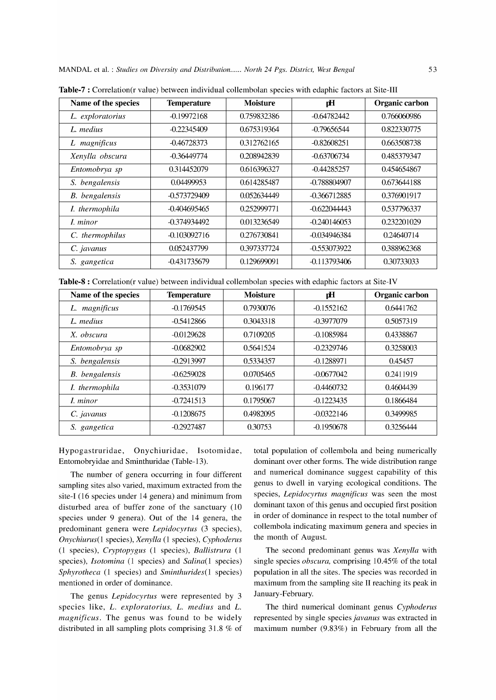| Name of the species   | <b>Temperature</b> | <b>Moisture</b> | рH             | Organic carbon |
|-----------------------|--------------------|-----------------|----------------|----------------|
| L. exploratorius      | $-0.19972168$      | 0.759832386     | -0.64782442    | 0.766060986    |
| L. medius             | -0.22345409        | 0.675319364     | -0.79656544    | 0.822330775    |
| L magnificus          | -0.46728373        | 0.312762165     | $-0.82608251$  | 0.663508738    |
| Xenylla obscura       | -0.36449774        | 0.208942839     | -0.63706734    | 0.485379347    |
| Entomobrya sp         | 0.314452079        | 0.616396327     | $-0.44285257$  | 0.454654867    |
| S. bengalensis        | 0.04499953         | 0.614285487     | -0.788804907   | 0.673644188    |
| <b>B.</b> bengalensis | -0.573729409       | 0.052634449     | $-0.366712885$ | 0.376901917    |
| I. thermophila        | -0.404695465       | 0.252999771     | $-0.622044443$ | 0.537796337    |
| I. minor              | -0.374934492       | 0.013236549     | $-0.240146053$ | 0.232201029    |
| C. thermophilus       | -0.103092716       | 0.276730841     | -0.034946384   | 0.24640714     |
| C. javanus            | 0.052437799        | 0.397337724     | -0.553073922   | 0.388962368    |
| S. gangetica          | -0.431735679       | 0.129699091     | $-0.113793406$ | 0.30733033     |

**Table-7 :** Correlation(r value) between individual collembolan species with edaphic factors at Site-III

**Table-8 :** Correlation(r value) between individual collembolan species with edaphic factors at Site-IV

| Name of the species   | <b>Temperature</b> | <b>Moisture</b> | рH           | Organic carbon |
|-----------------------|--------------------|-----------------|--------------|----------------|
| L. magnificus         | $-0.1769545$       | 0.7930076       | $-0.1552162$ | 0.6441762      |
| L. medius             | $-0.5412866$       | 0.3043318       | $-0.3977079$ | 0.5057319      |
| X. obscura            | $-0.0129628$       | 0.7109205       | $-0.1085984$ | 0.4338867      |
| Entomobrya sp         | $-0.0682902$       | 0.5641524       | $-0.2329746$ | 0.3258003      |
| S. bengalensis        | $-0.2913997$       | 0.5334357       | $-0.1288971$ | 0.45457        |
| <b>B.</b> bengalensis | $-0.6259028$       | 0.0705465       | $-0.0677042$ | 0.2411919      |
| I. thermophila        | $-0.3531079$       | 0.196177        | $-0.4460732$ | 0.4604439      |
| <i>I. minor</i>       | $-0.7241513$       | 0.1795067       | $-0.1223435$ | 0.1866484      |
| C. javanus            | $-0.1208675$       | 0.4982095       | $-0.0322146$ | 0.3499985      |
| S. gangetica          | $-0.2927487$       | 0.30753         | $-0.1950678$ | 0.3256444      |

Hypogastruridae, Onychiuridae, Isotomidae, Entomobryidae and Sminthuridae (Table-13).

The number of genera occurring in four different sampling sites also varied, maximum extracted from the site-I (16 species under 14 genera) and minimum from disturbed area of buffer zone of the sanctuary (10 species under 9 genera). Out of the 14 genera, the predominant genera were *Lepidocyrtus* (3 species), *Onychiurus(1* species), *Xenylla* (1 species), *Cyphoderus*  (1 species), *Cryptopygus* (1 species), *Ballistrura* (1 species), *Isotomina* (1 species) and *Salina(1* species) *Sphyrotheca* (1 species) and *Sminthurides(1* species) mentioned in order of dominance.

The genus *Lepidocyrtus* were represented by 3 species like, *L. exploratorius, L. medius* and *L. magnificus.* The genus was found to be widely distributed in all sampling plots comprising 31.8 % of total population of collembola and being numerically dominant over other forms. The wide distribution range and numerical dominance suggest capability of this genus to dwell in varying ecological conditions. The species, *Lepidocyrtus magnificus* was seen the most dominant taxon of this genus and occupied first position in order of dominance in respect to the total number of collembola indicating maximum genera and species in the month of August.

The second predominant genus was *Xenylla* with single species *obscura,* comprising 10.45% of the total population in all the sites. The species was recorded in maximum from the sampling site II reaching its peak in January-February.

The third numerical dominant genus *Cyphoderus*  represented by single species *javanus* was extracted in maximum number (9.83%) in February from all the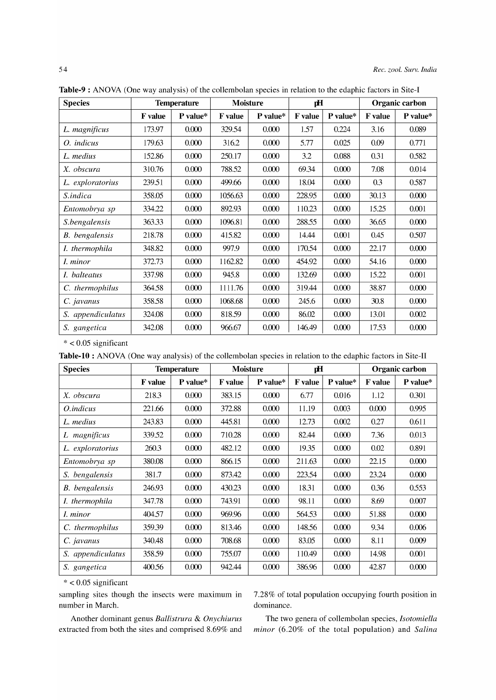| <b>Species</b>        |                | <b>Moisture</b><br><b>Temperature</b> |                | рH       |                | Organic carbon |         |          |
|-----------------------|----------------|---------------------------------------|----------------|----------|----------------|----------------|---------|----------|
|                       | <b>F</b> value | P value*                              | <b>F</b> value | P value* | <b>F</b> value | P value*       | F value | P value* |
| L. magnificus         | 173.97         | 0.000                                 | 329.54         | 0.000    | 1.57           | 0.224          | 3.16    | 0.089    |
| O. indicus            | 179.63         | 0.000                                 | 316.2          | 0.000    | 5.77           | 0.025          | 0.09    | 0.771    |
| L. medius             | 152.86         | 0.000                                 | 250.17         | 0.000    | 3.2            | 0.088          | 0.31    | 0.582    |
| X. obscura            | 310.76         | 0.000                                 | 788.52         | 0.000    | 69.34          | 0.000          | 7.08    | 0.014    |
| L. exploratorius      | 239.51         | 0.000                                 | 499.66         | 0.000    | 18.04          | 0.000          | 0.3     | 0.587    |
| S.indica              | 358.05         | 0.000                                 | 1056.63        | 0.000    | 228.95         | 0.000          | 30.13   | 0.000    |
| Entomobrya sp         | 334.22         | 0.000                                 | 892.93         | 0.000    | 110.23         | 0.000          | 15.25   | 0.001    |
| S.bengalensis         | 363.33         | 0.000                                 | 1096.81        | 0.000    | 288.55         | 0.000          | 36.65   | 0.000    |
| <b>B.</b> bengalensis | 218.78         | 0.000                                 | 415.82         | 0.000    | 14.44          | 0.001          | 0.45    | 0.507    |
| I. thermophila        | 348.82         | 0.000                                 | 997.9          | 0.000    | 170.54         | 0.000          | 22.17   | 0.000    |
| <i>I. minor</i>       | 372.73         | 0.000                                 | 1162.82        | 0.000    | 454.92         | 0.000          | 54.16   | 0.000    |
| I. balteatus          | 337.98         | 0.000                                 | 945.8          | 0.000    | 132.69         | 0.000          | 15.22   | 0.001    |
| C. thermophilus       | 364.58         | 0.000                                 | 1111.76        | 0.000    | 319.44         | 0.000          | 38.87   | 0.000    |
| C. javanus            | 358.58         | 0.000                                 | 1068.68        | 0.000    | 245.6          | 0.000          | 30.8    | 0.000    |
| S. appendiculatus     | 324.08         | 0.000                                 | 818.59         | 0.000    | 86.02          | 0.000          | 13.01   | 0.002    |
| S. gangetica          | 342.08         | 0.000                                 | 966.67         | 0.000    | 146.49         | 0.000          | 17.53   | 0.000    |

**Table-9 :** ANOVA (One way analysis) of the collembolan species in relation to the edaphic factors in Site-I

\* < 0.05 significant

|  |  |  |  | <b>Table-10</b> : ANOVA (One way analysis) of the collembolan species in relation to the edaphic factors in Site-II |
|--|--|--|--|---------------------------------------------------------------------------------------------------------------------|
|--|--|--|--|---------------------------------------------------------------------------------------------------------------------|

| <b>Species</b>    | <b>Temperature</b> |          | <b>Moisture</b> |          | pH             |          | Organic carbon |          |
|-------------------|--------------------|----------|-----------------|----------|----------------|----------|----------------|----------|
|                   | <b>F</b> value     | P value* | <b>F</b> value  | P value* | <b>F</b> value | P value* | <b>F</b> value | P value* |
| X. obscura        | 218.3              | 0.000    | 383.15          | 0.000    | 6.77           | 0.016    | 1.12           | 0.301    |
| <i>O.indicus</i>  | 221.66             | 0.000    | 372.88          | 0.000    | 11.19          | 0.003    | 0.000          | 0.995    |
| L. medius         | 243.83             | 0.000    | 445.81          | 0.000    | 12.73          | 0.002    | 0.27           | 0.611    |
| L magnificus      | 339.52             | 0.000    | 710.28          | 0.000    | 82.44          | 0.000    | 7.36           | 0.013    |
| L. exploratorius  | 260.3              | 0.000    | 482.12          | 0.000    | 19.35          | 0.000    | 0.02           | 0.891    |
| Entomobrya sp     | 380.08             | 0.000    | 866.15          | 0.000    | 211.63         | 0.000    | 22.15          | 0.000    |
| S. bengalensis    | 381.7              | 0.000    | 873.42          | 0.000    | 223.54         | 0.000    | 23.24          | 0.000    |
| B. bengalensis    | 246.93             | 0.000    | 430.23          | 0.000    | 18.31          | 0.000    | 0.36           | 0.553    |
| I. thermophila    | 347.78             | 0.000    | 743.91          | 0.000    | 98.11          | 0.000    | 8.69           | 0.007    |
| I. minor          | 404.57             | 0.000    | 969.96          | 0.000    | 564.53         | 0.000    | 51.88          | 0.000    |
| C. thermophilus   | 359.39             | 0.000    | 813.46          | 0.000    | 148.56         | 0.000    | 9.34           | 0.006    |
| C. javanus        | 340.48             | 0.000    | 708.68          | 0.000    | 83.05          | 0.000    | 8.11           | 0.009    |
| S. appendiculatus | 358.59             | 0.000    | 755.07          | 0.000    | 110.49         | 0.000    | 14.98          | 0.001    |
| S. gangetica      | 400.56             | 0.000    | 942.44          | 0.000    | 386.96         | 0.000    | 42.87          | 0.000    |

 $*$  < 0.05 significant

sampling sites though the insects were maximum in number in March.

Another dominant genus *Ballistrura* & *Onychiurus*  extracted from both the sites and comprised 8.69% and

7.28% of total population occupying fourth position in dominance.

The two genera of collembolan species, *Isotomiella minor* (6.20% of the total population) and *Salina*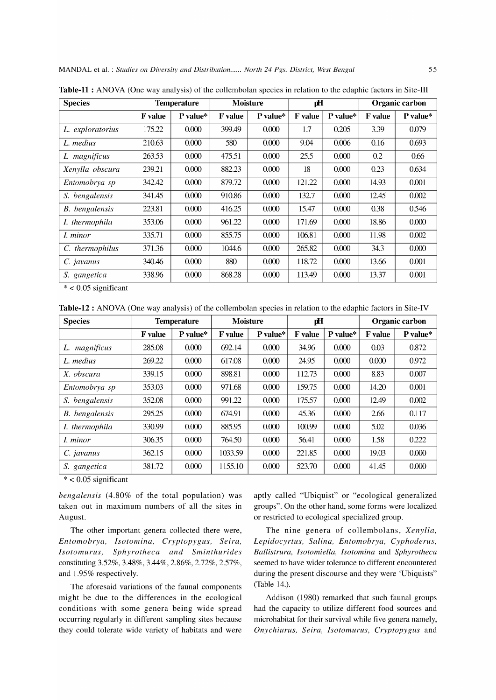| <b>Species</b><br><b>Temperature</b> |                | <b>Moisture</b> |                | рH       |                | <b>Organic carbon</b> |                |          |
|--------------------------------------|----------------|-----------------|----------------|----------|----------------|-----------------------|----------------|----------|
|                                      | <b>F</b> value | P value*        | <b>F</b> value | P value* | <b>F</b> value | P value*              | <b>F</b> value | P value* |
| L. exploratorius                     | 175.22         | 0.000           | 399.49         | 0.000    | 1.7            | 0.205                 | 3.39           | 0.079    |
| L. medius                            | 210.63         | 0.000           | 580            | 0.000    | 9.04           | 0.006                 | 0.16           | 0.693    |
| magnificus                           | 263.53         | 0.000           | 475.51         | 0.000    | 25.5           | 0.000                 | 0.2            | 0.66     |
| Xenylla obscura                      | 239.21         | 0.000           | 882.23         | 0.000    | 18             | 0.000                 | 0.23           | 0.634    |
| Entomobrya sp                        | 342.42         | 0.000           | 879.72         | 0.000    | 121.22         | 0.000                 | 14.93          | 0.001    |
| S. bengalensis                       | 341.45         | 0.000           | 910.86         | 0.000    | 132.7          | 0.000                 | 12.45          | 0.002    |
| B. bengalensis                       | 223.81         | 0.000           | 416.25         | 0.000    | 15.47          | 0.000                 | 0.38           | 0.546    |
| I. thermophila                       | 353.06         | 0.000           | 961.22         | 0.000    | 171.69         | 0.000                 | 18.86          | 0.000    |
| <i>I. minor</i>                      | 335.71         | 0.000           | 855.75         | 0.000    | 106.81         | 0.000                 | 11.98          | 0.002    |
| C. thermophilus                      | 371.36         | 0.000           | 1044.6         | 0.000    | 265.82         | 0.000                 | 34.3           | 0.000    |
| C. javanus                           | 340.46         | 0.000           | 880            | 0.000    | 118.72         | 0.000                 | 13.66          | 0.001    |
| S. gangetica                         | 338.96         | 0.000           | 868.28         | 0.000    | 113.49         | 0.000                 | 13.37          | 0.001    |

**Table-ll :** ANOVA (One way analysis) of the collembolan species in relation to the edaphic factors in Site-III

 $*$  < 0.05 significant

**Table-12 :** ANOVA (One way analysis) of the collembolan species in relation to the edaphic factors in Site-IV

| <b>Species</b>        | <b>Temperature</b> |          | <b>Moisture</b> |          | рH      |          | Organic carbon |            |
|-----------------------|--------------------|----------|-----------------|----------|---------|----------|----------------|------------|
|                       | <b>F</b> value     | P value* | <b>F</b> value  | P value* | F value | P value* | <b>F</b> value | $P$ value* |
| magnificus<br>L.      | 285.08             | 0.000    | 692.14          | 0.000    | 34.96   | 0.000    | 0.03           | 0.872      |
| L. medius             | 269.22             | 0.000    | 617.08          | 0.000    | 24.95   | 0.000    | 0.000          | 0.972      |
| X. obscura            | 339.15             | 0.000    | 898.81          | 0.000    | 112.73  | 0.000    | 8.83           | 0.007      |
| Entomobrya sp         | 353.03             | 0.000    | 971.68          | 0.000    | 159.75  | 0.000    | 14.20          | 0.001      |
| S. bengalensis        | 352.08             | 0.000    | 991.22          | 0.000    | 175.57  | 0.000    | 12.49          | 0.002      |
| <b>B.</b> bengalensis | 295.25             | 0.000    | 674.91          | 0.000    | 45.36   | 0.000    | 2.66           | 0.117      |
| <i>I.</i> thermophila | 330.99             | 0.000    | 885.95          | 0.000    | 100.99  | 0.000    | 5.02           | 0.036      |
| <i>I. minor</i>       | 306.35             | 0.000    | 764.50          | 0.000    | 56.41   | 0.000    | 1.58           | 0.222      |
| C. javanus            | 362.15             | 0.000    | 1033.59         | 0.000    | 221.85  | 0.000    | 19.03          | 0.000      |
| S. gangetica          | 381.72             | 0.000    | 1155.10         | 0.000    | 523.70  | 0.000    | 41.45          | 0.000      |

 $*$  < 0.05 significant

*bengalensis* (4.80% of the total population) was taken out in maximum numbers of all the sites in August.

The other important genera collected there were, *Entomobrya, Isotomina, Cryptopygus, Seira, Isotomurus, Sphyrotheca and Sminthurides*  constituting 3.52%, 3.48%, 3.44%, 2.86%, 2.72%, 2.57%, and 1.95% respectively.

The aforesaid variations of the faunal components might be due to the differences in the ecological conditions with some genera being wide spread occurring regularly in different sampling sites because they could tolerate wide variety of habitats and were aptly called "Ubiquist" or "ecological generalized groups". On the other hand, some forms were localized or restricted to ecological specialized group.

The nine genera of collembolans, *Xenylla, Lepidocyrtus, Salina, Entomobrya, Cyphoderus, Ballistrura, Isotomiella, Isotomina* and *Sphyrotheca*  seemed to have wider tolerance to different encountered during the present discourse and they were 'Ubiquists" (Table-14.).

Addison (1980) remarked that such faunal groups had the capacity to utilize different food sources and microhabitat for their survival while five genera namely, *Onychiurus, Seira, Isotomurus, Cryptopygus* and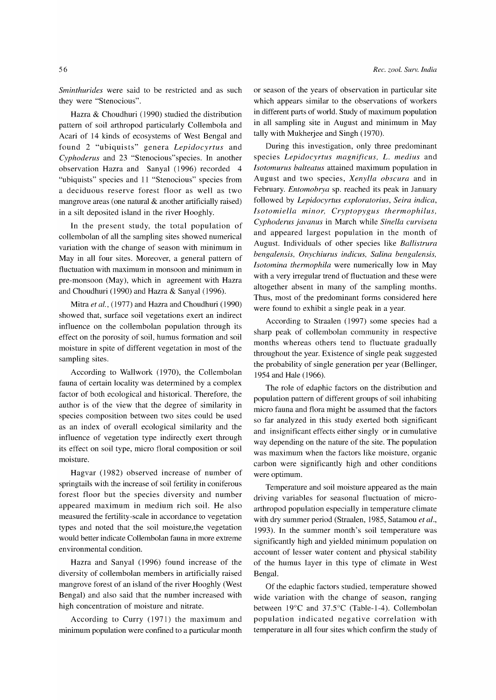*Sminthurides* were said to be restricted and as such they were "Stenocious".

Hazra & Choudhuri (1990) studied the distribution pattern of soil arthropod particularly Collembola and Acari of 14 kinds of ecosystems of West Bengal and found 2 "ubiquists" genera *Lepidocyrtus* and *Cyphoderus* and 23 "Stenocious"species. **In** another observation Hazra and Sanyal (1996) recorded 4 "ubiquists" species and 11 "Stenocious" species from a deciduous reserve forest floor as well as two mangrove areas (one natural  $\&$  another artificially raised) in a silt deposited island in the river Hooghly.

**In** the present study, the total population of collembolan of all the sampling sites showed numerical variation with the change of season with minimum in May in all four sites. Moreover, a general pattern of fluctuation with maximum in monsoon and minimum in pre-monsoon (May), which in agreement with Hazra and Choudhuri (1990) and Hazra & Sanyal (1996).

Mitra *et al.,* (1977) and Hazra and Choudhuri (1990) showed that, surface soil vegetations exert an indirect influence on the collembolan population through its effect on the porosity of soil, humus formation and soil moisture in spite of different vegetation in most of the sampling sites.

According to Wallwork (1970), the Collembolan fauna of certain locality was determined by a complex factor of both ecological and historical. Therefore, the author is of the view that the degree of similarity in species composition between two sites could be used as an index of overall ecological similarity and the influence of vegetation type indirectly exert through its effect on soil type, micro floral composition or soil moisture.

Hagvar (1982) observed increase of number of springtails with the increase of soil fertility in coniferous forest floor but the species diversity and number appeared maximum in medium rich soil. He also measured the fertility-scale in accordance to vegetation types and noted that the soil moisture,the vegetation would better indicate Collembolan fauna in more extreme environmental condition.

Hazra and Sanyal (1996) found increase of the diversity of collembolan members in artificially raised mangrove forest of an island of the river Hooghly (West Bengal) and also said that the number increased with high concentration of moisture and nitrate.

According to Curry (1971) the maximum and minimum population were confined to a particular month or season of the years of observation in particular site which appears similar to the observations of workers in different parts of world. Study of maximum population in all sampling site in August and minimum in May tally with Mukherjee and Singh (1970).

During this investigation, only three predominant species *Lepidocyrtus magnificus,* L. *medius* and *Isotomurus balteatus* attained maximum population in August and two species, *Xenylla obscura* and in February. *Entomobrya* sp. reached its peak in January followed by *Lepidocyrtus exploratorius, Seira indica, Isotomiella minor, Cryptopygus thermophilus, Cyphoderus javanus* in March while *Sinella curviseta*  and appeared largest population in the month of August. Individuals of other species like *Ballistrura bengalensis, Onychiurus indicus, Salina bengalensis, Isotomina thermophila* were numerically low in May with a very irregular trend of fluctuation and these were altogether absent in many of the sampling months. Thus, most of the predominant forms considered here were found to exhibit a single peak in a year.

According to Straalen (1997) some species had a sharp peak of collembolan community in respective months whereas others tend to fluctuate gradually throughout the year. Existence of single peak suggested the probability of single generation per year (Bellinger, 1954 and Hale (1966).

The role of edaphic factors on the distribution and population pattern of different groups of soil inhabiting micro fauna and flora might be assumed that the factors so far analyzed in this study exerted both significant and insignificant effects either singly or in cumulative way depending on the nature of the site. The population was maximum when the factors like moisture, organic carbon were significantly high and other conditions were optimum.

Temperature and soil moisture appeared as the main driving variables for seasonal fluctuation of microarthropod population especially in temperature climate with dry summer period (Straalen, 1985, Satamou *et al.,*  1993). **In** the summer month's soil temperature was significantly high and yielded minimum population on account of lesser water content and physical stability of the humus layer in this type of climate in West Bengal.

Of the edaphic factors studied, temperature showed wide variation with the change of season, ranging between 19°C and 37.5°C (Table-I-4). Collembolan population indicated negative correlation with temperature in all four sites which confirm the study of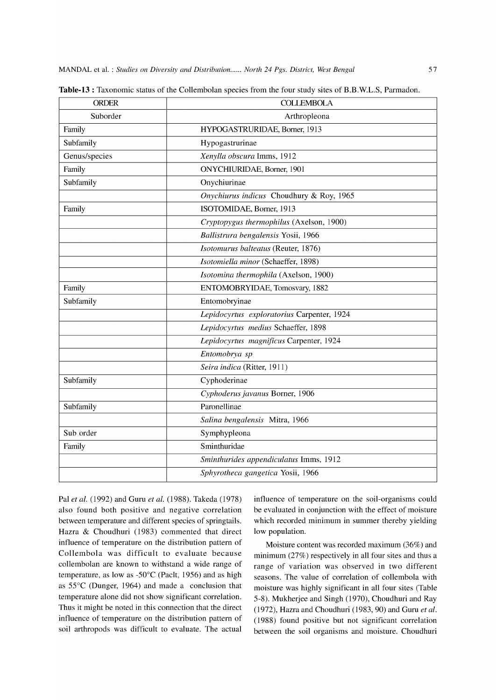| <b>ORDER</b>  | <b>COLLEMBOLA</b>                          |  |  |  |  |
|---------------|--------------------------------------------|--|--|--|--|
| Suborder      | Arthropleona                               |  |  |  |  |
| Family        | HYPOGASTRURIDAE, Borner, 1913              |  |  |  |  |
| Subfamily     | Hypogastrurinae                            |  |  |  |  |
| Genus/species | Xenylla obscura Imms, 1912                 |  |  |  |  |
| Family        | ONYCHIURIDAE, Borner, 1901                 |  |  |  |  |
| Subfamily     | Onychiurinae                               |  |  |  |  |
|               | Onychiurus indicus Choudhury & Roy, 1965   |  |  |  |  |
| Family        | ISOTOMIDAE, Borner, 1913                   |  |  |  |  |
|               | Cryptopygus thermophilus (Axelson, 1900)   |  |  |  |  |
|               | Ballistrura bengalensis Yosii, 1966        |  |  |  |  |
|               | Isotomurus balteatus (Reuter, 1876)        |  |  |  |  |
|               | Isotomiella minor (Schaeffer, 1898)        |  |  |  |  |
|               | Isotomina thermophila (Axelson, 1900)      |  |  |  |  |
| Family        | ENTOMOBRYIDAE, Tomosvary, 1882             |  |  |  |  |
| Subfamily     | Entomobryinae                              |  |  |  |  |
|               | Lepidocyrtus exploratorius Carpenter, 1924 |  |  |  |  |
|               | Lepidocyrtus medius Schaeffer, 1898        |  |  |  |  |
|               | Lepidocyrtus magnificus Carpenter, 1924    |  |  |  |  |
|               | Entomobrya sp                              |  |  |  |  |
|               | Seira indica (Ritter, 1911)                |  |  |  |  |
| Subfamily     | Cyphoderinae                               |  |  |  |  |
|               | Cyphoderus javanus Borner, 1906            |  |  |  |  |
| Subfamily     | Paronellinae                               |  |  |  |  |
|               | Salina bengalensis Mitra, 1966             |  |  |  |  |
| Sub order     | Symphypleona                               |  |  |  |  |
| Family        | Sminthuridae                               |  |  |  |  |
|               | Sminthurides appendiculatus Imms, 1912     |  |  |  |  |
|               | Sphyrotheca gangetica Yosii, 1966          |  |  |  |  |

**Table-13** : Taxonomic status of the Collembolan species from the four study sites of B.B.W.L.S, Parmadon.

Pal *et al.* (1992) and Guru *et al.* (1988). Takeda (1978) also found both positive and negative correlation between temperature and different species of springtails. Hazra & Choudhuri (1983) commented that direct influence of temperature on the distribution pattern of Collembola was difficult to evaluate because collembolan are known to withstand a wide range of temperature, as low as -50°C (Paclt, 1956) and as high as 55°C (Dunger, 1964) and made a conclusion that temperature alone did not show significant correlation. Thus it might be noted in this connection that the direct influence of temperature on the distribution pattern of soil arthropods was difficult to evaluate. The actual influence of temperature on the soil-organisms could be evaluated in conjunction with the effect of moisture which recorded minimum in summer thereby yielding low population.

Moisture content was recorded maximum (36%) and minimum (27%) respectively in all four sites and thus a range of variation was observed in two different seasons. The value of correlation of collembola with moisture was highly significant in all four sites (Table 5-8). Mukherjee and Singh (1970), Choudhuri and Ray (1972), Hazra and Choudhuri (1983, 90) and Guru *et al.*  (1988) found positive but not significant correlation between the soil organisms and moisture. Choudhuri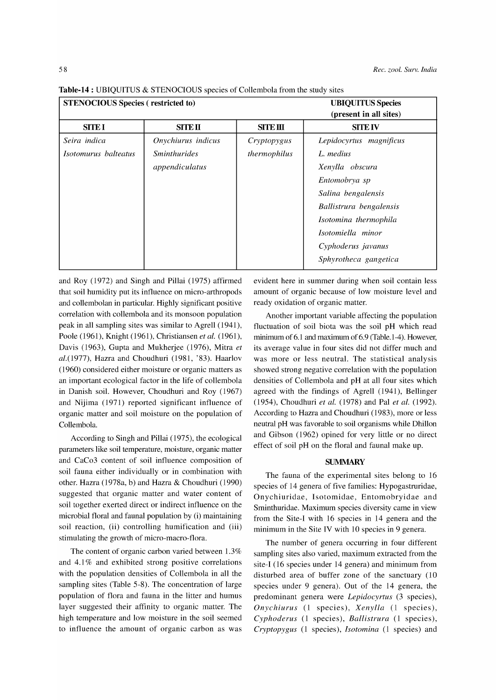| <b>STENOCIOUS Species (restricted to)</b> |                                   | <b>UBIQUITUS Species</b><br>(present in all sites) |                         |  |
|-------------------------------------------|-----------------------------------|----------------------------------------------------|-------------------------|--|
| <b>SITE I</b>                             | SITE II                           | <b>SITE III</b>                                    | <b>SITE IV</b>          |  |
| Seira indica                              | Onychiurus indicus                | Cryptopygus                                        | Lepidocyrtus magnificus |  |
| Isotomurus balteatus                      | <i><u><b>Sminthurides</b></u></i> | thermophilus                                       | L. medius               |  |
|                                           | appendiculatus                    |                                                    | Xenylla obscura         |  |
|                                           |                                   |                                                    | Entomobrya sp           |  |
|                                           |                                   |                                                    | Salina bengalensis      |  |
|                                           |                                   |                                                    | Ballistrura bengalensis |  |
|                                           |                                   |                                                    | Isotomina thermophila   |  |
|                                           |                                   |                                                    | Isotomiella minor       |  |
|                                           |                                   |                                                    | Cyphoderus javanus      |  |
|                                           |                                   |                                                    | Sphyrotheca gangetica   |  |

Table-14 : UBIQUITUS & STENOCIOUS species of Collembola from the study sites

and Roy (1972) and Singh and Pillai (1975) affirmed that soil humidity put its influence on micro-arthropods and collembolan in particular. Highly significant positive correlation with collembola and its monsoon population peak in all sampling sites was similar to Agrell (1941), Poole (1961), Knight (1961), Christiansen *et al. (1961),*  Davis (1963), Gupta and Mukherjee (1976), Mitra *et al.(1977),* Hazra and Choudhuri (1981, '83). Haarlov (1960) considered either moisture or organic matters as an important ecological factor in the life of collembola in Danish soil. However, Choudhuri and Roy (1967) and Nijima (1971) reported significant influence of organic matter and soil moisture on the population of Collembola.

According to Singh and Pillai (1975), the ecological parameters like soil temperature, moisture, organic matter and CaCo3 content of soil influence composition of soil fauna either individually or in combination with other. Hazra (1978a, b) and Hazra & Choudhuri (1990) suggested that organic matter and water content of soil together exerted direct or indirect influence on the microbial floral and faunal population by (i) maintaining soil reaction, (ii) controlling humification and (iii) stimulating the growth of micro-macro-flora.

The content of organic carbon varied between 1.3% and  $4.1\%$  and exhibited strong positive correlations with the population densities of Collembola in all the sampling sites (Table 5-8). The concentration of large population of flora and fauna in the litter and humus layer suggested their affinity to organic matter. The high temperature and low moisture in the soil seemed to influence the amount of organic carbon as was evident here in summer during when soil contain less amount of organic because of low moisture level and ready oxidation of organic matter.

Another important variable affecting the population fluctuation of soil biota was the soil pH which read minimum of 6.1 and maximum of 6.9 (Table.1-4). However, its average value in four sites did not differ much and was more or less neutral. The statistical analysis showed strong negative correlation with the population densities of Collembola and pH at all four sites which agreed with the findings of Agrell (1941), Bellinger (1954), Choudhuri *et al.* (1978) and Pal *et al. (1992).*  According to Hazra and Choudhuri (1983), more or less neutral pH was favorable to soil organisms while Dhillon and Gibson (1962) opined for very little or no direct effect of soil pH on the floral and faunal make up.

#### **SUMMARY**

The fauna of the experimental sites belong to 16 species of 14 genera of five families: Hypogastruridae, Onychiuridae, Isotomidae, Entomobryidae and Sminthuridae. Maximum species diversity came in view from the Site-I with 16 species in 14 genera and the minimum in the Site IV with 10 species in 9 genera.

The number of genera occurring in four different sampling sites also varied, maximum extracted from the site-I (16 species under 14 genera) and minimum from disturbed area of buffer zone of the sanctuary (10 species under 9 genera). Out of the 14 genera, the predominant genera were *Lepidocyrtus* (3 species), *Onychiurus* (1 species), *Xenylla* (1 species), *Cyphoderus* (1 species), *Ballistrura* (1 species), *Cryptopygus* (1 species), *Isotomina* (1 species) and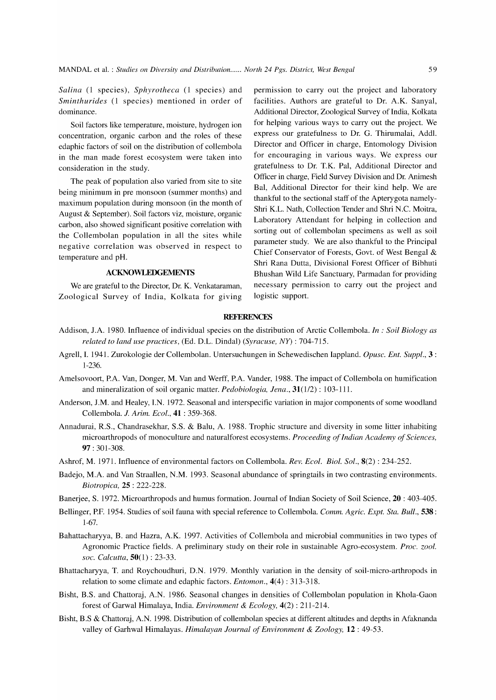*Salina* (1 species), *Sphyrotheca* (1 species) and *Sminthurides* (1 species) mentioned in order of dominance.

Soil factors like temperature, moisture, hydrogen ion concentration, organic carbon and the roles of these edaphic factors of soil on the distribution of collembola in the man made forest ecosystem were taken into consideration in the study.

The peak of population also varied from site to site being minimum in pre monsoon (summer months) and maximum population during monsoon (in the month of August & September). Soil factors viz, moisture, organic carbon, also showed significant positive correlation with the Collembolan population in all the sites while negative correlation was observed in respect to temperature and pH.

#### **ACKNOWLEDGEl\1ENTS**

We are grateful to the Director, Dr. K. Venkataraman, Zoological Survey of India, Kolkata for giving permission to carry out the project and laboratory facilities. Authors are grateful to Dr. A.K. Sanyal, Additional Director, Zoological Survey of India, Kolkata for helping various ways to carry out the project. We express our gratefulness to Dr. G. Thirumalai, Addl. Director and Officer in charge, Entomology Division for encouraging in various ways. We express our gratefulness to Dr. T.K. Pal, Additional Director and Officer in charge, Field Survey Division and Dr. Animesh Bal, Additional Director for their kind help. We are thankful to the sectional staff of the Apterygota namely-Shri K.L. Nath, Collection Tender and Shri N.C. Moitra, Laboratory Attendant for helping in collection and sorting out of collembolan specimens as well as soil parameter study. We are also thankful to the Principal Chief Conservator of Forests, Govt. of West Bengal & Shri Rana Dutta, Divisional Forest Officer of Bibhuti Bhushan Wild Life Sanctuary, Parmadan for providing necessary permission to carry out the project and logistic support.

#### **REFERENCES**

- Addison, J.A. 1980. Influence of individual species on the distribution of Arctic Collembola. *In* : *Soil Biology as related to land use practices,* (Ed. D.L. Dindal) *(Syracuse, NY)* : 704-715.
- Agrell, L 1941. Zurokologie der Collembolan. Untersuchungen in Schewedischen Iappland. *Opusc. Ent. Suppl.,* 3 : 1-236.
- Amelsovoort, P.A. Van, Donger, M. Van and Werff, P.A. Vander, 1988. The impact of Collembola on humification and mineralization of soil organic matter. *Pedobiologia, lena.,* 31(1/2) : 103-111.
- Anderson, J.M. and Healey, LN. 1972. Seasonal and interspecific variation in major components of some woodland Collembola. *l. Arim. Ecol.,* **41** : 359-368.
- Annadurai, R.S., Chandrasekhar, S.S. & Balu, A. 1988. Trophic structure and diversity in some litter inhabiting microarthropods of monoculture and naturalforest ecosystems. *Proceeding of Indian Academy of Sciences,*  **97:** 301-308.
- Ashrof, M. 1971. Influence of environmental factors on Collembola. *Rev. Ecol. Biol. Sol.,* 8(2) : 234-252.
- Badejo, M.A. and Van Straallen, N.M. 1993. Seasonal abundance of springtails in two contrasting environments. *Biotropica,* **25** : 222-228.
- Banerjee, S. 1972. Microarthropods and humus formation. Journal of Indian Society of Soil Science, **20** : 403-405.
- Bellinger, P.F. 1954. Studies of soil fauna with special reference to Collembola. *Comm. Agric. Expt. Sta. Bull.*, **538**: 1-67.
- Bahattacharyya, B. and Hazra, A.K. 1997. Activities of Collembola and microbial communities in two types of Agronomic Practice fields. A preliminary study on their role in sustainable Agro-ecosystem. *Proc. zool. soc. Calcutta,* 50(1) : 23-33.
- Bhattacharyya, T. and Roychoudhuri, D.N. 1979. Monthly variation in the density of soil-micro-arthropods in relation to some climate and edaphic factors. *Entomon.,* 4(4) : 313-318.
- Bisht, B.S. and Chattoraj, A.N. 1986. Seasonal changes in densities of Collembolan population in Khola-Gaon forest of Garwal Himalaya, India. *Environment* & *Ecology,* 4(2) : 211-214.
- Bisht, B.S & Chattoraj, A.N. 1998. Distribution of collembolan species at different altitudes and depths in Afaknanda valley of Garhwal Himalayas. *Himalayan lournal of Environment* & *Zoology,* **12** : 49-53.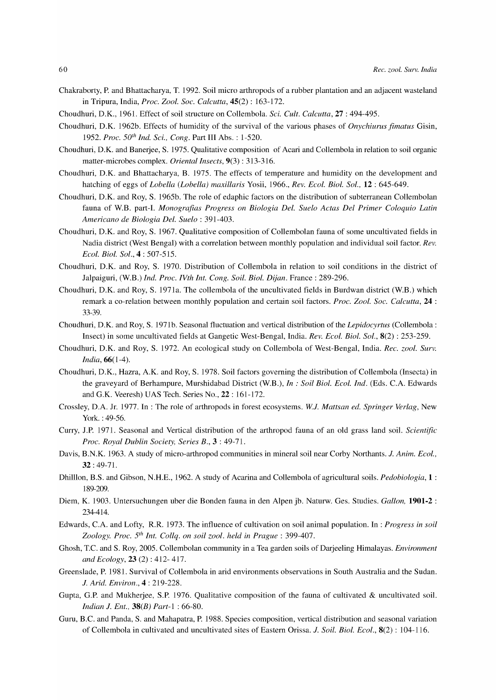- Chakraborty, P. and Bhattacharya, T. 1992. Soil micro arthropods of a rubber plantation and an adjacent wasteland in Tripura, India, *Proc. Zool. Soc. Calcutta,* 45(2) : 163-172.
- Choudhuri, D.K., 1961. Effect of soil structure on Collembola. *Sci. Cult. Calcutta,* **27** : 494-495.
- Choudhuri, D.K. 1962b. Effects of humidity of the survival of the various phases of *Onychiurus fimatus* Gisin, 1952. Proc. 50<sup>th</sup> Ind. Sci., Cong. Part III Abs. : 1-520.
- Choudhuri, D.K. and Banerjee, S. 1975. Qualitative composition of Acari and Collembola in relation to soil organic matter-microbes complex. *Oriental Insects,* 9(3) : 313-316.
- Choudhuri, D.K. and Bhattacharya, B. 1975. The effects of temperature and humidity on the development and hatching of eggs of *Lobella (Lobella) maxillaris* Yosii, 1966., *Rev. Ecol. Biol. Sol.,* **12** : 645-649.
- Choudhuri, D.K. and Roy, S. 1965b. The role of edaphic factors on the distribution of subterranean Collembolan fauna of W.B. part-I. *Monografias Progress on Biologia Del. Suelo Actas Del Primer Coloquio Latin Americano de Biologia Del. Suelo* : 391-403.
- Choudhuri, D.K. and Roy, S. 1967. Qualitative composition of Collembolan fauna of some uncultivated fields in Nadia district (West Bengal) with a correlation between monthly population and individual soil factor. *Rev. Ecol. Biol. Sol.,* 4: 507-515.
- Choudhuri, D.K. and Roy, S. 1970. Distribution of Collembola in relation to soil conditions in the district of Jalpaiguri, (W.B.) *Ind. Proc. IVth Int. Cong. Soil. Biol. Dijan.* France: 289-296.
- Choudhuri, D.K. and Roy, S. 1971a. The collembola of the uncultivated fields in Burdwan district (W.B.) which remark a co-relation between monthly population and certain soil factors. *Proc. Zool. Soc. Calcutta,* **24** : 33-39.
- Choudhuri, D.K. and Roy, S. 1971b. Seasonal fluctuation and vertical distribution of the *Lepidocyrtus* (Collembola: Insect) in some uncultivated fields at Gangetic West-Bengal, India. *Rev. Ecol. Biol. Sol.,* 8(2) : 253-259.
- Choudhuri, D.K. and Roy, S. 1972. An ecological study on Collembola of West-Bengal, India. *Rec. zool. Surv. India,* 66(1-4).
- Choudhuri, D.K., Hazra, A.K. and Roy, S. 1978. Soil factors governing the distribution of Collembola (Insecta) in the graveyard of Berhampure, Murshidabad District (W.B.), *In* : *Soil Biol. Ecol. Ind.* (Eds. C.A. Edwards and G.K. Veeresh) UAS Tech. Series No., **22:** 161-172.
- Crossley, D.A. Jr. 1977. **In** : The role of arthropods in forest ecosystems. *W.I. Mattsan ed. Springer Verlag,* New York. : 49-56.
- Curry, J.P. 1971. Seasonal and Vertical distribution of the arthropod fauna of an old grass land soil. *Scientific Proc. Royal Dublin Society, Series B.,* 3 : 49-71.
- Davis, B.N.K. 1963. A study of micro-arthropod communities in mineral soil near Corby Northants. *1. Anim. Ecol.,*  **32:** 49-71.
- Dhilllon, B.S. and Gibson, N.H.E., 1962. A study of Acarina and Collembola of agricultural soils. *Pedobiologia,* 1 : 189-209.
- Diem, K. 1903. Untersuchungen uber die Bonden fauna in den Alpen jb. Naturw. Ges. Studies. *Gallon,* **1901-2** : 234-414.
- Edwards, C.A. and Lofty, R.R. 1973. The influence of cultivation on soil animal population. **In** : *Progress in soil Zoology. Proc. 5th Int. Collq. on soil zool. held in Prague: 399-407.*
- Ghosh, T.c. and S. Roy, 2005. Collembolan community in a Tea garden soils of Darjeeling Himalayas. *Environment and Ecology,* **23** (2): 412- 417.
- Greenslade, P. 1981. Survival of Collembola in arid environments observations in South Australia and the Sudan. *1. Arid. Environ.,* 4 : 219-228.
- Gupta, G.P. and Mukherjee, S.P. 1976. Qualitative composition of the fauna of cultivated & uncultivated soil. *Indian 1. Ent., 38(B) Part-1* : 66-80.
- Guru, B.C. and Panda, S. and Mahapatra, P. 1988. Species composition, vertical distribution and seasonal variation of Collembola in cultivated and uncultivated sites of Eastern Orissa. *1. Soil. Biol. Ecol.,* 8(2) : 104-116.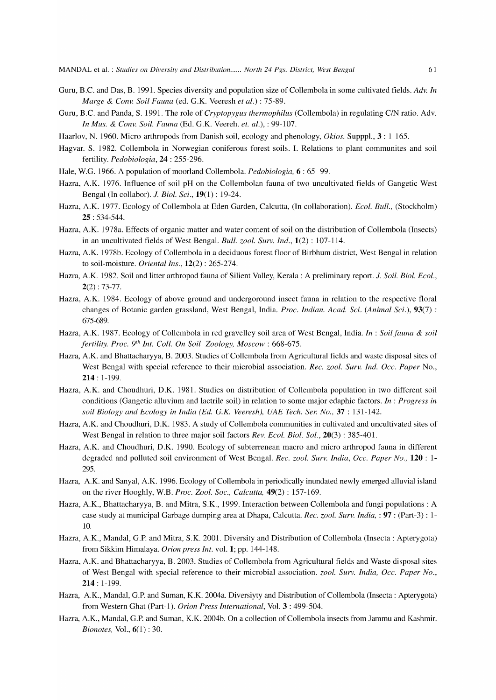- Guru, B.C. and Das, B. 1991. Species diversity and population size of Collembola in some cultivated fields. *Adv. In Marge* & *Conv. Soil Fauna* (ed. G.K. Veeresh *et al.)* : 75-89.
- Guru, B.C. and Panda, S. 1991. The role of *Cryptopygus thermophilus* (Collembola) in regulating *CIN* ratio. Adv. *In Mus.* & *Conv. Soil. Fauna* (Ed. G.K. Veereh. *et. al.),* : 99-107.
- Haarlov, N. 1960. Micro-arthropods from Danish soil, ecology and phenology, *Okios.* Supppl., 3 : 1-165.
- Hagvar. S. 1982. Collembola in Norwegian coniferous forest soils. I. Relations to plant communites and soil fertility. *Pedobiologia,* **24** : 255-296.
- Hale, W.G. 1966. A population of moorland Collembola. *Pedobiologia,* 6: 65 -99.
- Hazra, A.K. 1976. Influence of soil pH on the Collembolan fauna of two uncultivated fields of Gangetic West Bengal (In collabor). *1. Biol. Sci.,* 19(1) : 19-24.
- Hazra, A.K. 1977. Ecology of Collembola at Eden Garden, Calcutta, (In collaboration). *Ecol. Bull.,* (Stockholm) **25:** 534-544.
- Hazra, A.K. 1978a. Effects of organic matter and water content of soil on the distribution of Collembola (Insects) in an uncultivated fields of West Bengal. *Bull. zool. Surv. Ind.,* 1(2) : 107-114.
- Hazra, A.K. 1978b. Ecology of Collembola in a deciduous forest floor of Birbhum district, West Bengal in relation to soil-moisture. *Oriental Ins.,* 12(2) : 265-274.
- Hazra, A.K. 1982. Soil and litter arthropod fauna of Silient Valley, Kerala : A preliminary report. *1. Soil. Biol. Ecol.,*   $2(2)$ : 73-77.
- Hazra, A.K. 1984. Ecology of above ground and undergoround insect fauna in relation to the respective floral changes of Botanic garden grassland, West Bengal, India. *Proc. Indian. Acad. Sci. (Animal Sci.),* 93(7) : 675-689.
- Hazra, A.K. 1987. Ecology of Collembola in red gravelley soil area of West Bengal, India. *In* : *Soil fauna* & *soil fertility. Proc. 9th Int. Coll. On Soil Zoology, Moscow: 668-675.*
- Hazra, A.K. and Bhattacharyya, B. 2003. Studies of Collembola from Agricultural fields and waste disposal sites of West Bengal with special reference to their microbial association. *Rec. zool. Surv. Ind. Occ. Paper* No., **214:** 1-199.
- Hazra, A.K. and Choudhuri, D.K. 1981. Studies on distribution of Collembola population in two different soil conditions (Gangetic alluvium and lactrile soil) in relation to some major edaphic factors. *In* : *Progress in soil Biology and Ecology in India (Ed. G.K. Veeresh), UAE Tech. Ser. No.,* **37** : 131-142.
- Hazra, A.K. and Choudhuri, D.K. 1983. A study of Collembola communities in cultivated and uncultivated sites of West Bengal in relation to three major soil factors *Rev. Ecol. Biol. Sol.,* 20(3) : 385-401.
- Hazra, A.K. and Choudhuri, D.K. 1990. Ecology of subterrenean macro and micro arthropod fauna in different degraded and polluted soil environment of West Bengal. *Rec. zool. Surv. India, Occ. Paper No.,* **120** : 1- 295.
- Hazra, A.K. and Sanyal, A.K. 1996. Ecology of Collembola in periodically inundated newly emerged alluvial island on the river Hooghly, W.B. *Proc. Zool. Soc., Calcutta,* 49(2) : 157-169.
- Hazra, A.K., Bhattacharyya, B. and Mitra, S.K., 1999. Interaction between Collembola and fungi populations: A case study at municipal Garbage dumping area at Dhapa, Calcutta. *Rec. zool. Surv. India,* : **97** : (Part-3) : 1- 10.
- Hazra, A.K., MandaI, G.P. and Mitra, S.K. 2001. Diversity and Distribution of Collembola (Insecta: Apterygota) from Sikkim Himalaya. *Orion press Int.* vol. 1; pp. 144-148.
- Hazra, A.K. and Bhattacharyya, B. 2003. Studies of Collembola from Agricultural fields and Waste disposal sites of West Bengal with special reference to their microbial association. *zool. Surv. India, Occ. Paper No.,*  **214:** 1-199.
- Hazra, A.K., Mandal, G.P. and Suman, K.K. 2004a. Diversiyty and Distribution of Collembola (Insecta: Apterygota) from Western Ghat (Part-I). *Orion Press International,* Vol. 3: 499-504.
- Hazra, A.K., Mandal, G.P. and Suman, K.K. 2004b. On a collection of Collembola insects from Jammu and Kashmir. *Bionotes,* Vol., 6(1) : 30.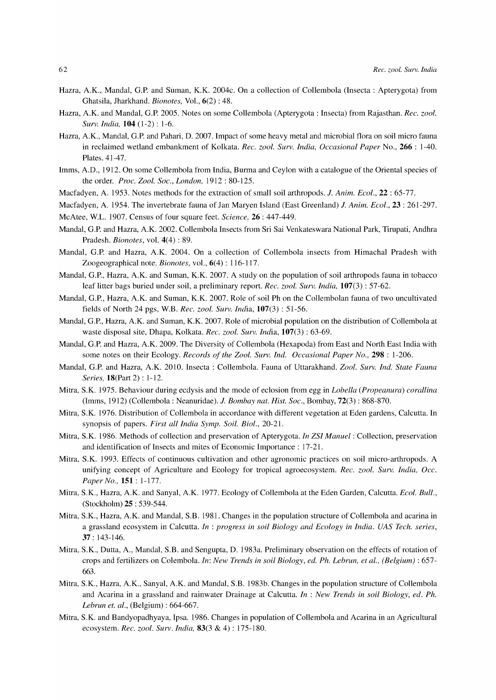- Hazra, A.K., MandaI, G.P' and Suman, K.K. 2004c. On a collection of Collembola (Insecta: Apterygota) from Ghatsila, Jharkhand. *Bionotes,* Vol., 6(2) : 48.
- Hazra, A.K. and MandaI, G.P' 2005. Notes on some Collembola (Apterygota : Insecta) from Rajasthan. *Rec. zool. Surv. India,* **104** (1-2) : 1-6.
- Hazra, A.K., Mandal, G.P. and Pahari, D. 2007. Impact of some heavy metal and microbial flora on soil micro fauna in reclaimed wetland embankment of Kolkata. *Rec. zool. Surv. India, Occasional Paper* No., 266 : 1-40. Plates. 41-47.
- Imms, A.D., 1912. On some Collembola from India, Burma and Ceylon with a catalogue of the Oriental species of the order. *Proc. Zool. Soc., London,* 1912: 80-125.
- Macfadyen, A. 1953. Notes methods for the extraction of small soil arthropods. *1. Anim. Ecol.,* 22 : 65-77.
- Macfadyen, A. 1954. The invertebrate fauna of Jan Maryen Island (East Greenland) *1. Anim. Ecol.,* 23 : 261-297. McAtee, W.L. 1907. Census of four square feet. *Science,* 26: 447-449.
- MandaI, G.P' and Hazra, A.K. 2002. Collembola Insects from Sri Sai Venkateswara National Park, Tirupati, Andhra Pradesh. *Bionotes,* vol. 4(4) : 89.
- MandaI, G.P' and Hazra, A.K. 2004. On a collection of Collembola insects from Himachal Pradesh with Zoogeographical note. *Bionotes,* vol., 6(4) : 116-117.
- Mandal, G.P., Hazra, A.K. and Suman, K.K. 2007. A study on the population of soil arthropods fauna in tobacco leaf litter bags buried under soil, a preliminary report. *Rec. zool. Surv. India,* 107(3) : 57-62.
- MandaI, G.P., Hazra, A.K. and Suman, K.K. 2007. Role of soil Ph on the Collembolan fauna of two uncultivated fields of North 24 pgs, W.B. *Rec. zool. Surv. India,* 107(3) : 51-56.
- MandaI, G .P., Hazra, A.K. and Suman, K.K. 2007. Role of microbial population on the distribution of Collembola at waste disposal site, Dhapa, Kolkata. *Rec. zool. Surv. India,* 107(3) : 63-69.
- MandaI, G.P. and Hazra, A.K. 2009. The Diversity of Collembola (Hexapoda) from East and North East India with some notes on their Ecology. *Records of the Zool. Surv. Ind. Occasional Paper No.*, 298 : 1-206.
- MandaI, G.P. and Hazra, A.K. 2010. Insecta: Collembola. Fauna of Uttarakhand. *Zool. Surv. Ind. State Fauna Series,* 18(Part 2) : 1-12.
- Mitra, S.K. 1975. Behaviour during ecdysis and the mode of eclosion from egg in *Labella (Propeanura) corallina*  (Imms, 1912) (Collembola: Neanuridae). *1. Bombay nat. Hist. Soc.,* Bombay, 72(3) : 868-870.
- Mitra, S.K. 1976. Distribution of Collembola in accordance with different vegetation at Eden gardens, Calcutta. In synopsis of papers. *First all India Symp. Soil. Biol., 20-21.*
- Mitra, S.K. 1986. Methods of collection and preservation of Apterygota. *In ZSI Manuel:* Collection, preservation and identification of Insects and mites of Economic Importance: 17-21.
- Mitra, S.K. 1993. Effects of continuous cultivation and other agronomic practices on soil micro-arthropods. A unifying concept of Agriculture and Ecology for tropical agroecosystem. *Rec. zool. Surv. India, Occ. Paper No.,* **151:** 1-177.
- Mitra, S.K., Hazra, A.K. and Sanyal, A.K. 1977. Ecology of Collembola at the Eden Garden, Calcutta. *Ecol. Bull.,*  (Stockholm) 25 : 539-544.
- Mitra, S.K., Hazra, A.K. and MandaI, S.B. 1981. Changes in the population structure of Collembola and acarina in a grassland ecosystem in Calcutta. *In* : *progress in soil Biology and Ecology in India. VAS Tech. series,*  37: 143-146.
- Mitra, S.K., Dutta, A., MandaI, S.B. and Sengupta, D. 1983a. Preliminary observation on the effects of rotation of crops and fertilizers on Colembola. *In: New Trends in soil Biology, ed. Ph. Lebrun, et al., (Belgium)* : 657- 663.
- Mitra, S.K., Hazra, A.K., Sanyal, A.K. and MandaI, S.B. 1983b. Changes in the population structure of Collembola and Acarina in a grassland and rainwater Drainage at Calcutta. *In* : *New Trends in soil Biology, ed. Ph. Lebrun et. al.,* (Belgium) : 664-667.
- Mitra, S.K. and Bandyopadhyaya, Ipsa. 1986. Changes in population of Collembola and Acarina in an Agricultural ecosystem. *Rec. zool. Surv. India,* 83(3 & 4): 175-180.